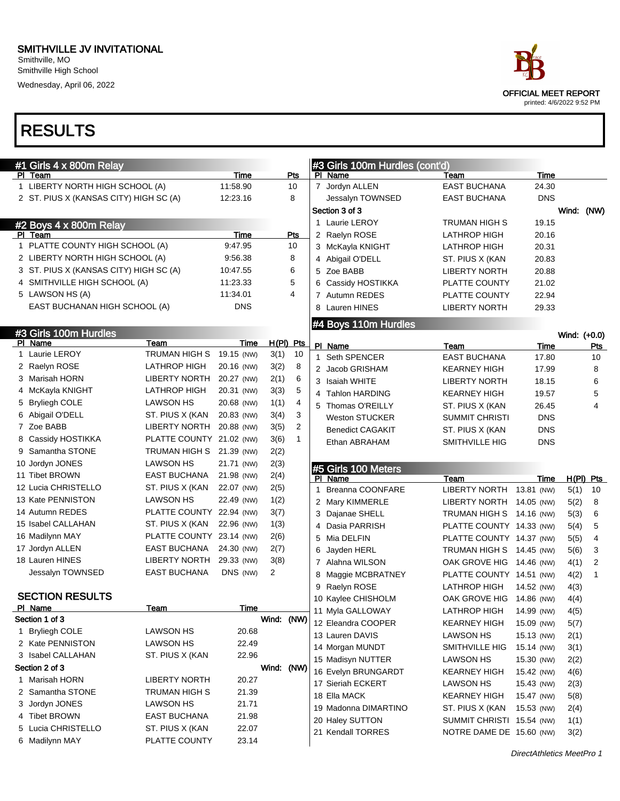Wednesday, April 06, 2022

| ace                       |
|---------------------------|
| OFFICIAL MEET REPORT      |
| printed: 4/6/2022 9:52 PM |

| #1 Girls 4 x 800m Relay                |                          |             |             |                | #3 Girls 100m Hurdles (cont'd) |                           |            |              |                |
|----------------------------------------|--------------------------|-------------|-------------|----------------|--------------------------------|---------------------------|------------|--------------|----------------|
| PI Team                                |                          | Time        |             | Pts            | PI Name                        | Team                      | Time       |              |                |
| 1 LIBERTY NORTH HIGH SCHOOL (A)        |                          | 11:58.90    |             | 10             | 7 Jordyn ALLEN                 | <b>EAST BUCHANA</b>       | 24.30      |              |                |
| 2 ST. PIUS X (KANSAS CITY) HIGH SC (A) |                          | 12:23.16    |             | 8              | Jessalyn TOWNSED               | <b>EAST BUCHANA</b>       | <b>DNS</b> |              |                |
|                                        |                          |             |             |                | Section 3 of 3                 |                           |            | Wind: (NW)   |                |
| #2 Boys 4 x 800m Relay                 |                          |             |             |                | 1 Laurie LEROY                 | TRUMAN HIGH S             | 19.15      |              |                |
| PI Team                                |                          | Time        |             | Pts            | 2 Raelyn ROSE                  | <b>LATHROP HIGH</b>       | 20.16      |              |                |
| 1 PLATTE COUNTY HIGH SCHOOL (A)        |                          | 9.47.95     |             | 10             | 3 McKayla KNIGHT               | LATHROP HIGH              | 20.31      |              |                |
| 2 LIBERTY NORTH HIGH SCHOOL (A)        |                          | 9.56.38     |             | 8              | 4 Abigail O'DELL               | ST. PIUS X (KAN           | 20.83      |              |                |
| 3 ST. PIUS X (KANSAS CITY) HIGH SC (A) |                          | 10:47.55    |             | 6              | 5 Zoe BABB                     | <b>LIBERTY NORTH</b>      | 20.88      |              |                |
| 4 SMITHVILLE HIGH SCHOOL (A)           |                          | 11:23.33    |             | 5              | 6 Cassidy HOSTIKKA             | PLATTE COUNTY             | 21.02      |              |                |
| 5 LAWSON HS (A)                        |                          | 11:34.01    |             | 4              | 7 Autumn REDES                 | PLATTE COUNTY             | 22.94      |              |                |
| EAST BUCHANAN HIGH SCHOOL (A)          |                          | <b>DNS</b>  |             |                | 8 Lauren HINES                 | <b>LIBERTY NORTH</b>      | 29.33      |              |                |
|                                        |                          |             |             |                | #4 Boys 110m Hurdles           |                           |            |              |                |
| #3 Girls 100m Hurdles                  |                          |             |             |                |                                |                           |            | Wind: (+0.0) |                |
| PI Name                                | Team                     | Time        | $H(PI)$ Pts |                | PI Name                        | Team                      | Time       |              | <u>Pts</u>     |
| 1 Laurie LEROY                         | TRUMAN HIGH S            | 19.15 (NW)  | 3(1)        | 10             | 1 Seth SPENCER                 | <b>EAST BUCHANA</b>       | 17.80      |              | 10             |
| 2 Raelyn ROSE                          | <b>LATHROP HIGH</b>      | 20.16 (NW)  | 3(2)        | 8              | 2 Jacob GRISHAM                | <b>KEARNEY HIGH</b>       | 17.99      |              | 8              |
| 3 Marisah HORN                         | <b>LIBERTY NORTH</b>     | 20.27 (NW)  | 2(1)        | 6              | 3 Isaiah WHITE                 | <b>LIBERTY NORTH</b>      | 18.15      |              | 6              |
| 4 McKayla KNIGHT                       | <b>LATHROP HIGH</b>      | 20.31 (NW)  | 3(3)        | 5              | 4 Tahlon HARDING               | <b>KEARNEY HIGH</b>       | 19.57      |              | 5              |
| 5 Bryliegh COLE                        | <b>LAWSON HS</b>         | 20.68 (NW)  | 1(1)        | 4              | 5 Thomas O'REILLY              | ST. PIUS X (KAN           | 26.45      |              | $\overline{4}$ |
| 6 Abigail O'DELL                       | ST. PIUS X (KAN          | 20.83 (NW)  | 3(4)        | 3              | <b>Weston STUCKER</b>          | <b>SUMMIT CHRISTI</b>     | <b>DNS</b> |              |                |
| 7 Zoe BABB                             | <b>LIBERTY NORTH</b>     | 20.88 (NW)  | 3(5)        | $\overline{2}$ | <b>Benedict CAGAKIT</b>        | ST. PIUS X (KAN           | <b>DNS</b> |              |                |
| 8 Cassidy HOSTIKKA                     | PLATTE COUNTY 21.02 (NW) |             | 3(6)        | 1              | Ethan ABRAHAM                  | SMITHVILLE HIG            | <b>DNS</b> |              |                |
| 9 Samantha STONE                       | TRUMAN HIGH S 21.39 (NW) |             | 2(2)        |                |                                |                           |            |              |                |
| 10 Jordyn JONES                        | LAWSON HS                | 21.71 (NW)  | 2(3)        |                | #5 Girls 100 Meters            |                           |            |              |                |
| 11 Tibet BROWN                         | EAST BUCHANA             | 21.98 (NW)  | 2(4)        |                | PI Name                        | Team                      | Time       |              | $H(PI)$ Pts    |
| 12 Lucia CHRISTELLO                    | ST. PIUS X (KAN          | 22.07 (NW)  | 2(5)        |                | 1 Breanna COONFARE             | LIBERTY NORTH 13.81 (NW)  |            | 5(1)         | 10             |
| 13 Kate PENNISTON                      | <b>LAWSON HS</b>         | 22.49 (NW)  | 1(2)        |                | 2 Mary KIMMERLE                | LIBERTY NORTH 14.05 (NW)  |            | 5(2)         | 8              |
| 14 Autumn REDES                        | PLATTE COUNTY 22.94 (NW) |             | 3(7)        |                | 3 Dajanae SHELL                | TRUMAN HIGH S 14.16 (NW)  |            | 5(3)         | 6              |
| 15 Isabel CALLAHAN                     | ST. PIUS X (KAN          | 22.96 (NW)  | 1(3)        |                | 4 Dasia PARRISH                | PLATTE COUNTY 14.33 (NW)  |            | 5(4)         | 5              |
| 16 Madilynn MAY                        | PLATTE COUNTY 23.14 (NW) |             | 2(6)        |                | 5 Mia DELFIN                   | PLATTE COUNTY 14.37 (NW)  |            | 5(5)         | 4              |
| 17 Jordyn ALLEN                        | <b>EAST BUCHANA</b>      | 24.30 (NW)  | 2(7)        |                | 6 Jayden HERL                  | TRUMAN HIGH S 14.45 (NW)  |            | 5(6)         | 3              |
| 18 Lauren HINES                        | <b>LIBERTY NORTH</b>     | 29.33 (NW)  | 3(8)        |                | 7 Alahna WILSON                | OAK GROVE HIG 14.46 (NW)  |            | 4(1)         | 2              |
| Jessalyn TOWNSED                       | <b>EAST BUCHANA</b>      | DNS (NW)    | 2           |                | 8 Maggie MCBRATNEY             | PLATTE COUNTY 14.51 (NW)  |            | 4(2)         | 1              |
|                                        |                          |             |             |                | 9 Raelyn ROSE                  | <b>LATHROP HIGH</b>       | 14.52 (NW) | 4(3)         |                |
| <b>SECTION RESULTS</b>                 |                          |             |             |                | 10 Kaylee CHISHOLM             | OAK GROVE HIG 14.86 (NW)  |            | 4(4)         |                |
| PI Name                                | <u>Team</u>              | <u>Time</u> |             |                | 11 Myla GALLOWAY               | <b>LATHROP HIGH</b>       | 14.99 (NW) | 4(5)         |                |
| Section 1 of 3                         |                          |             | Wind: (NW)  |                | 12 Eleandra COOPER             | KEARNEY HIGH              | 15.09 (NW) | 5(7)         |                |
| 1 Bryliegh COLE                        | <b>LAWSON HS</b>         | 20.68       |             |                | 13 Lauren DAVIS                | <b>LAWSON HS</b>          | 15.13 (NW) | 2(1)         |                |
| 2 Kate PENNISTON                       | <b>LAWSON HS</b>         | 22.49       |             |                | 14 Morgan MUNDT                | SMITHVILLE HIG            | 15.14 (NW) | 3(1)         |                |
| 3 Isabel CALLAHAN                      | ST. PIUS X (KAN          | 22.96       |             |                | 15 Madisyn NUTTER              | LAWSON HS                 | 15.30 (NW) | 2(2)         |                |
| Section 2 of 3                         |                          |             | Wind: (NW)  |                | 16 Evelyn BRUNGARDT            | KEARNEY HIGH              | 15.42 (NW) | 4(6)         |                |
| 1 Marisah HORN                         | <b>LIBERTY NORTH</b>     | 20.27       |             |                | 17 Sieriah ECKERT              | LAWSON HS                 | 15.43 (NW) | 2(3)         |                |
| 2 Samantha STONE                       | TRUMAN HIGH S            | 21.39       |             |                | 18 Ella MACK                   | <b>KEARNEY HIGH</b>       | 15.47 (NW) | 5(8)         |                |
| 3 Jordyn JONES                         | <b>LAWSON HS</b>         | 21.71       |             |                | 19 Madonna DIMARTINO           | ST. PIUS X (KAN           | 15.53 (NW) | 2(4)         |                |
| 4 Tibet BROWN                          | <b>EAST BUCHANA</b>      | 21.98       |             |                | 20 Haley SUTTON                | SUMMIT CHRISTI 15.54 (NW) |            | 1(1)         |                |
| 5 Lucia CHRISTELLO                     | ST. PIUS X (KAN          | 22.07       |             |                | 21 Kendall TORRES              | NOTRE DAME DE 15.60 (NW)  |            | 3(2)         |                |
| 6 Madilynn MAY                         | PLATTE COUNTY            | 23.14       |             |                |                                |                           |            |              |                |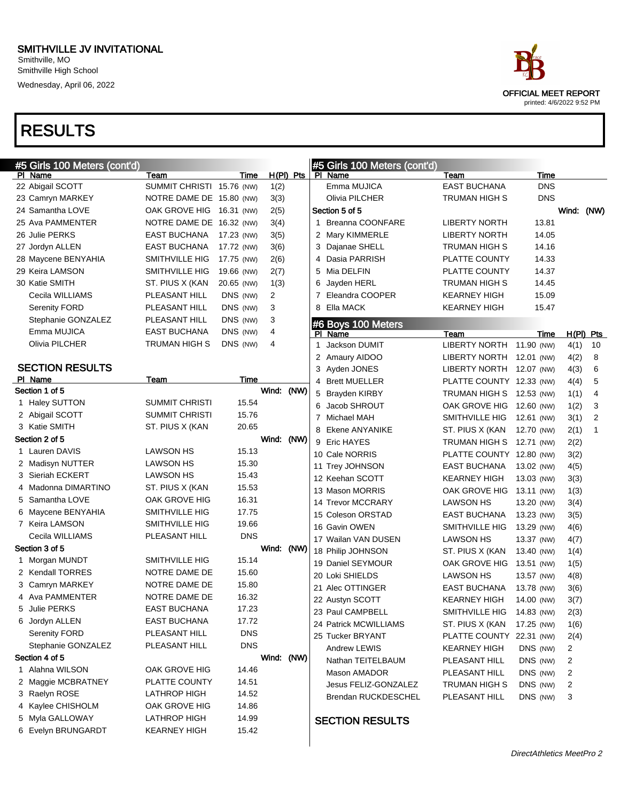

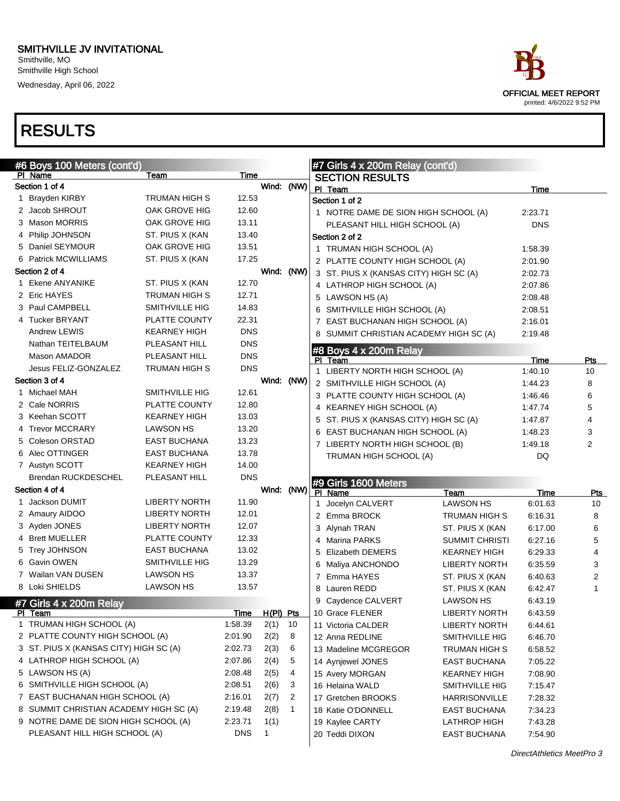

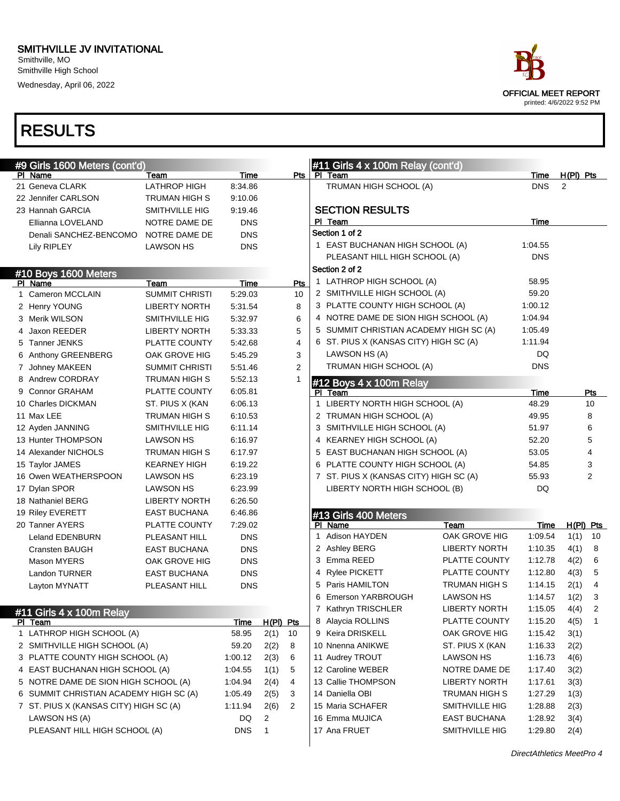#### SMITHVILLE JV INVITATIONAL Smithville, MO

Smithville High School Wednesday, April 06, 2022

### RESULTS

#9 Girls 1600 Meters (cont'd)

|                                              | <b>OFFICIAL MEET REPORT</b> | printed: 4/6/2022 9:52 PM |
|----------------------------------------------|-----------------------------|---------------------------|
|                                              |                             |                           |
|                                              |                             |                           |
| #11 Girls 4 x 100m Relay (cont'd)<br>PI Team | Time                        | $H(PI)$ Pts               |
| TRUMAN HIGH SCHOOL (A)                       | <b>DNS</b>                  | 2                         |
| <b>SECTION RESULTS</b>                       |                             |                           |
| PI Team                                      | Time                        |                           |
| Section 1 of 2                               |                             |                           |
| 1 EAST BUCHANAN HIGH SCHOOL (A)              | 1:04.55                     |                           |
| PLEASANT HILL HIGH SCHOOL (A)                | <b>DNS</b>                  |                           |
| Section 2 of 2                               |                             |                           |
| 1 LATHROP HIGH SCHOOL (A)                    | 58.95                       |                           |
| 2 SMITHVILLE HIGH SCHOOL (A)                 | 59.20                       |                           |
| 3 PLATTE COUNTY HIGH SCHOOL (A)              | 1:00.12                     |                           |
|                                              |                             |                           |

 $\blacksquare$ 

|  | <b>SECTION RESULTS</b> |  |  |
|--|------------------------|--|--|
|  |                        |  |  |

|                        | NOTRE DAME DE                                                                                                                                                                                                                                                                                                                                                                                                             | <b>DNS</b>             |     |
|------------------------|---------------------------------------------------------------------------------------------------------------------------------------------------------------------------------------------------------------------------------------------------------------------------------------------------------------------------------------------------------------------------------------------------------------------------|------------------------|-----|
| Lily RIPLEY            | <b>LAWSON HS</b>                                                                                                                                                                                                                                                                                                                                                                                                          | <b>DNS</b>             |     |
|                        |                                                                                                                                                                                                                                                                                                                                                                                                                           |                        |     |
|                        |                                                                                                                                                                                                                                                                                                                                                                                                                           |                        |     |
| Name                   | Team                                                                                                                                                                                                                                                                                                                                                                                                                      | Time                   | Pts |
| Cameron MCCLAIN        | <b>SUMMIT CHRISTI</b>                                                                                                                                                                                                                                                                                                                                                                                                     | 5:29.03                | 10  |
|                        | <b>LIBERTY NORTH</b>                                                                                                                                                                                                                                                                                                                                                                                                      | 5:31.54                | 8   |
|                        | SMITHVILLE HIG                                                                                                                                                                                                                                                                                                                                                                                                            | 5:32.97                | 6   |
|                        | <b>LIBERTY NORTH</b>                                                                                                                                                                                                                                                                                                                                                                                                      | 5:33.33                | 5   |
|                        | PLATTE COUNTY                                                                                                                                                                                                                                                                                                                                                                                                             | 5:42.68                | 4   |
|                        | OAK GROVE HIG                                                                                                                                                                                                                                                                                                                                                                                                             | 5:45.29                | 3   |
|                        | <b>SUMMIT CHRISTI</b>                                                                                                                                                                                                                                                                                                                                                                                                     | 5:51.46                | 2   |
|                        | <b>TRUMAN HIGH S</b>                                                                                                                                                                                                                                                                                                                                                                                                      | 5:52.13                | 1   |
|                        | PLATTE COUNTY                                                                                                                                                                                                                                                                                                                                                                                                             | 6:05.81                |     |
|                        | ST. PIUS X (KAN                                                                                                                                                                                                                                                                                                                                                                                                           | 6:06.13                |     |
|                        | <b>TRUMAN HIGH S</b>                                                                                                                                                                                                                                                                                                                                                                                                      | 6:10.53                |     |
|                        | SMITHVILLE HIG                                                                                                                                                                                                                                                                                                                                                                                                            | 6:11.14                |     |
|                        | <b>LAWSON HS</b>                                                                                                                                                                                                                                                                                                                                                                                                          | 6:16.97                |     |
|                        | <b>TRUMAN HIGH S</b>                                                                                                                                                                                                                                                                                                                                                                                                      | 6:17.97                |     |
|                        | <b>KEARNEY HIGH</b>                                                                                                                                                                                                                                                                                                                                                                                                       | 6:19.22                |     |
|                        | <b>LAWSON HS</b>                                                                                                                                                                                                                                                                                                                                                                                                          | 6:23.19                |     |
|                        | <b>LAWSON HS</b>                                                                                                                                                                                                                                                                                                                                                                                                          | 6:23.99                |     |
|                        | <b>LIBERTY NORTH</b>                                                                                                                                                                                                                                                                                                                                                                                                      | 6:26.50                |     |
|                        | <b>EAST BUCHANA</b>                                                                                                                                                                                                                                                                                                                                                                                                       | 6:46.86                |     |
|                        | PLATTE COUNTY                                                                                                                                                                                                                                                                                                                                                                                                             | 7:29.02                |     |
| <b>Leland EDENBURN</b> | PLEASANT HILL                                                                                                                                                                                                                                                                                                                                                                                                             | <b>DNS</b>             |     |
| Cransten BAUGH         | <b>EAST BUCHANA</b>                                                                                                                                                                                                                                                                                                                                                                                                       | <b>DNS</b>             |     |
| <b>Mason MYERS</b>     | OAK GROVE HIG                                                                                                                                                                                                                                                                                                                                                                                                             | <b>DNS</b>             |     |
| <b>Landon TURNER</b>   | <b>EAST BUCHANA</b>                                                                                                                                                                                                                                                                                                                                                                                                       | <b>DNS</b>             |     |
| Layton MYNATT          | PLEASANT HILL                                                                                                                                                                                                                                                                                                                                                                                                             | <b>DNS</b>             |     |
|                        |                                                                                                                                                                                                                                                                                                                                                                                                                           |                        |     |
| 1.                     | #10 Boys 1600 Meters<br>PI.<br><b>Henry YOUNG</b><br>3 Merik WILSON<br>4 Jaxon REEDER<br>5 Tanner JENKS<br>6 Anthony GREENBERG<br>7 Johney MAKEEN<br>Andrew CORDRAY<br><b>Connor GRAHAM</b><br>10 Charles DICKMAN<br>11 Max LEE<br>12 Ayden JANNING<br>13 Hunter THOMPSON<br>14 Alexander NICHOLS<br>15 Taylor JAMES<br>16 Owen WEATHERSPOON<br>17 Dylan SPOR<br>18 Nathaniel BERG<br>19 Riley EVERETT<br>20 Tanner AYERS | Denali SANCHEZ-BENCOMO |     |

PI Name **The Properties Team** Team Time Pts

21 Geneva CLARK LATHROP HIGH 8:34.86 22 Jennifer CARLSON TRUMAN HIGH S 9:10.06 23 Hannah GARCIA SMITHVILLE HIG 9:19.46 Ellianna LOVELAND NOTRE DAME DE DNS

|    | #11 Girls 4 x 100m Relay               |            |           |    |
|----|----------------------------------------|------------|-----------|----|
|    | Team                                   | Time       | H(PI) Pts |    |
| 1. | LATHROP HIGH SCHOOL (A)                | 58.95      | 2(1)      | 10 |
|    | 2 SMITHVILLE HIGH SCHOOL (A)           | 59.20      | 2(2)      | 8  |
|    | 3 PLATTE COUNTY HIGH SCHOOL (A)        | 1:00.12    | 2(3)      | 6  |
|    | 4 EAST BUCHANAN HIGH SCHOOL (A)        | 1:04.55    | 1(1)      | 5  |
|    | 5 NOTRE DAME DE SION HIGH SCHOOL (A)   | 1:04.94    | 2(4)      | 4  |
| 6. | SUMMIT CHRISTIAN ACADEMY HIGH SC (A)   | 1:05.49    | 2(5)      | 3  |
|    | 7 ST. PIUS X (KANSAS CITY) HIGH SC (A) | 1:11.94    | 2(6)      | 2  |
|    | LAWSON HS (A)                          | DQ         | 2         |    |
|    | PLEASANT HILL HIGH SCHOOL (A)          | <b>DNS</b> |           |    |
|    |                                        |            |           |    |

|   | <b>SECTION RESULTS</b>                 |            |     |
|---|----------------------------------------|------------|-----|
|   | PI Team                                | Time       |     |
|   | Section 1 of 2                         |            |     |
|   | 1 EAST BUCHANAN HIGH SCHOOL (A)        | 1:04.55    |     |
|   | PLEASANT HILL HIGH SCHOOL (A)          | <b>DNS</b> |     |
|   | Section 2 of 2                         |            |     |
|   | 1 LATHROP HIGH SCHOOL (A)              | 58.95      |     |
|   | 2 SMITHVILLE HIGH SCHOOL (A)           | 59.20      |     |
|   | 3 PLATTE COUNTY HIGH SCHOOL (A)        | 1:00.12    |     |
|   | 4 NOTRE DAME DE SION HIGH SCHOOL (A)   | 1:04.94    |     |
|   | 5 SUMMIT CHRISTIAN ACADEMY HIGH SC (A) | 1:05.49    |     |
|   | 6 ST. PIUS X (KANSAS CITY) HIGH SC (A) | 1:11.94    |     |
|   | LAWSON HS (A)                          | DQ         |     |
|   | TRUMAN HIGH SCHOOL (A)                 | <b>DNS</b> |     |
|   | #12 Boys 4 x 100m Relay                |            |     |
|   | PI Team                                | Time       | Pts |
| 1 | LIBERTY NORTH HIGH SCHOOL (A)          | 48.29      | 10  |
|   | 2 TRUMAN HIGH SCHOOL (A)               | 49.95      | 8   |
|   | 3 SMITHVILLE HIGH SCHOOL (A)           | 51.97      | 6   |
|   | 4 KEARNEY HIGH SCHOOL (A)              | 52.20      | 5   |
|   | 5 EAST BUCHANAN HIGH SCHOOL (A)        | 53.05      | 4   |
|   | 6 PLATTE COUNTY HIGH SCHOOL (A)        | 54.85      | 3   |
|   | 7 ST. PIUS X (KANSAS CITY) HIGH SC (A) | 55.93      | 2   |
|   | LIBERTY NORTH HIGH SCHOOL (B)          | DQ         |     |
|   |                                        |            |     |

|   | #13 Girls 400 Meters |                       |         |       |                |
|---|----------------------|-----------------------|---------|-------|----------------|
| Р | Name                 | Team                  | Time    | H(PI) | Pts            |
| 1 | Adison HAYDEN        | OAK GROVE HIG         | 1:09.54 | 1(1)  | 10             |
| 2 | Ashley BERG          | <b>LIBERTY NORTH</b>  | 1:10.35 | 4(1)  | 8              |
| 3 | Emma REED            | <b>PLATTE COUNTY</b>  | 1:12.78 | 4(2)  | 6              |
| 4 | <b>Rylee PICKETT</b> | PLATTE COUNTY         | 1:12.80 | 4(3)  | 5              |
| 5 | Paris HAMILTON       | <b>TRUMAN HIGH S</b>  | 1:14.15 | 2(1)  | 4              |
| 6 | Emerson YARBROUGH    | <b>LAWSON HS</b>      | 1:14.57 | 1(2)  | 3              |
| 7 | Kathryn TRISCHLER    | <b>LIBERTY NORTH</b>  | 1:15.05 | 4(4)  | $\overline{2}$ |
| 8 | Alaycia ROLLINS      | PLATTE COUNTY         | 1:15.20 | 4(5)  | 1              |
| 9 | Keira DRISKELL       | OAK GROVE HIG         | 1:15.42 | 3(1)  |                |
|   | 10 Nnenna ANIKWE     | ST. PIUS X (KAN       | 1:16.33 | 2(2)  |                |
|   | 11 Audrey TROUT      | <b>LAWSON HS</b>      | 1:16.73 | 4(6)  |                |
|   | 12 Caroline WEBER    | NOTRE DAME DE         | 1:17.40 | 3(2)  |                |
|   | 13 Callie THOMPSON   | <b>LIBERTY NORTH</b>  | 1:17.61 | 3(3)  |                |
|   | 14 Daniella OBI      | <b>TRUMAN HIGH S</b>  | 1:27.29 | 1(3)  |                |
|   | 15 Maria SCHAFER     | <b>SMITHVILLE HIG</b> | 1:28.88 | 2(3)  |                |
|   | 16 Emma MUJICA       | <b>EAST BUCHANA</b>   | 1:28.92 | 3(4)  |                |
|   | 17 Ana FRUET         | SMITHVILLE HIG        | 1:29.80 | 2(4)  |                |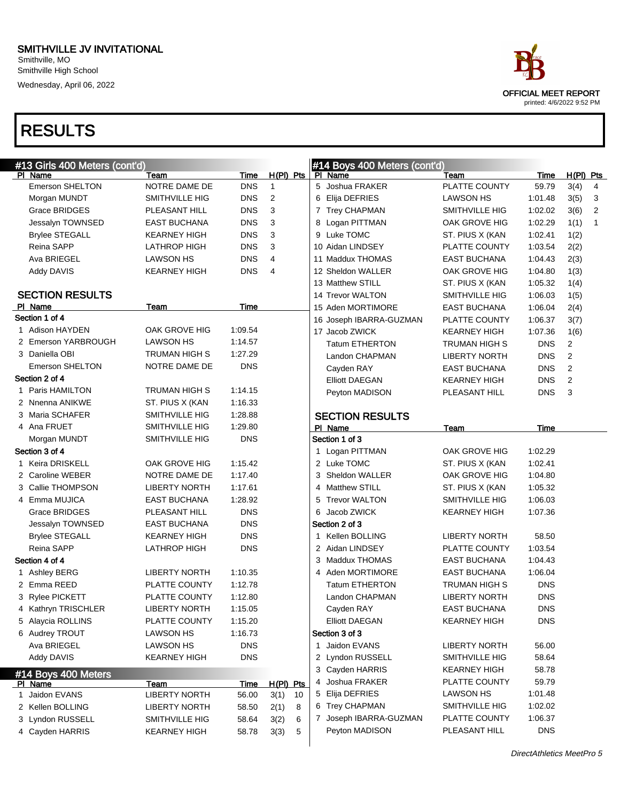#### SMITHVILLE JV INVITATIONAL Smithville, MO Smithville High School

Wednesday, April 06, 2022

|                                          |                       |             |                |   | #14 Boys 400 Meters (cont'd)   |                      |            |                        |              |
|------------------------------------------|-----------------------|-------------|----------------|---|--------------------------------|----------------------|------------|------------------------|--------------|
| #13 Girls 400 Meters (cont'd)<br>PI Name | Team                  | Time        | H(PI) Pts      |   | PI Name                        | Team                 | Time       | $H(PI)$ Pts            |              |
| <b>Emerson SHELTON</b>                   | NOTRE DAME DE         | <b>DNS</b>  | $\mathbf{1}$   |   | 5 Joshua FRAKER                | PLATTE COUNTY        | 59.79      | 3(4)                   | 4            |
| Morgan MUNDT                             | SMITHVILLE HIG        | <b>DNS</b>  | $\overline{2}$ |   | 6 Elija DEFRIES                | LAWSON HS            | 1:01.48    | 3(5)                   | 3            |
| <b>Grace BRIDGES</b>                     | PLEASANT HILL         | <b>DNS</b>  | 3              |   | 7 Trey CHAPMAN                 | SMITHVILLE HIG       | 1:02.02    | 3(6)                   | 2            |
| Jessalyn TOWNSED                         | <b>EAST BUCHANA</b>   | <b>DNS</b>  | 3              |   | 8 Logan PITTMAN                | OAK GROVE HIG        | 1:02.29    | 1(1)                   | $\mathbf{1}$ |
| <b>Brylee STEGALL</b>                    | <b>KEARNEY HIGH</b>   | <b>DNS</b>  | 3              |   | 9 Luke TOMC                    | ST. PIUS X (KAN      | 1:02.41    | 1(2)                   |              |
| Reina SAPP                               | <b>LATHROP HIGH</b>   | <b>DNS</b>  | 3              |   | 10 Aidan LINDSEY               | PLATTE COUNTY        | 1:03.54    | 2(2)                   |              |
| Ava BRIEGEL                              | <b>LAWSON HS</b>      | <b>DNS</b>  | $\overline{4}$ |   | 11 Maddux THOMAS               | <b>EAST BUCHANA</b>  | 1:04.43    | 2(3)                   |              |
| Addy DAVIS                               | <b>KEARNEY HIGH</b>   | <b>DNS</b>  | 4              |   | 12 Sheldon WALLER              | OAK GROVE HIG        | 1:04.80    | 1(3)                   |              |
|                                          |                       |             |                |   | 13 Matthew STILL               | ST. PIUS X (KAN      | 1:05.32    | 1(4)                   |              |
| <b>SECTION RESULTS</b>                   |                       |             |                |   | 14 Trevor WALTON               | SMITHVILLE HIG       | 1:06.03    | 1(5)                   |              |
| PI Name                                  | Team                  | Time        |                |   | 15 Aden MORTIMORE              | <b>EAST BUCHANA</b>  | 1:06.04    | 2(4)                   |              |
| Section 1 of 4                           |                       |             |                |   | 16 Joseph IBARRA-GUZMAN        | PLATTE COUNTY        | 1:06.37    | 3(7)                   |              |
| 1 Adison HAYDEN                          | OAK GROVE HIG         | 1:09.54     |                |   | 17 Jacob ZWICK                 | <b>KEARNEY HIGH</b>  | 1:07.36    |                        |              |
| 2 Emerson YARBROUGH                      | <b>LAWSON HS</b>      | 1:14.57     |                |   | Tatum ETHERTON                 |                      | <b>DNS</b> | 1(6)<br>$\overline{c}$ |              |
| 3 Daniella OBI                           | <b>TRUMAN HIGH S</b>  | 1:27.29     |                |   |                                | TRUMAN HIGH S        |            | $\mathbf{2}$           |              |
| Emerson SHELTON                          | NOTRE DAME DE         | <b>DNS</b>  |                |   | Landon CHAPMAN                 | <b>LIBERTY NORTH</b> | <b>DNS</b> | $\overline{2}$         |              |
| Section 2 of 4                           |                       |             |                |   | Cayden RAY                     | <b>EAST BUCHANA</b>  | <b>DNS</b> |                        |              |
| 1 Paris HAMILTON                         | TRUMAN HIGH S         | 1:14.15     |                |   | <b>Elliott DAEGAN</b>          | <b>KEARNEY HIGH</b>  | <b>DNS</b> | $\overline{2}$         |              |
| 2 Nnenna ANIKWE                          | ST. PIUS X (KAN       | 1:16.33     |                |   | Peyton MADISON                 | PLEASANT HILL        | <b>DNS</b> | 3                      |              |
| 3 Maria SCHAFER                          | SMITHVILLE HIG        | 1:28.88     |                |   |                                |                      |            |                        |              |
| 4 Ana FRUET                              | <b>SMITHVILLE HIG</b> | 1:29.80     |                |   | <b>SECTION RESULTS</b>         |                      |            |                        |              |
| Morgan MUNDT                             | <b>SMITHVILLE HIG</b> | <b>DNS</b>  |                |   | PI Name<br>Section 1 of 3      | Team                 | Time       |                        |              |
| Section 3 of 4                           |                       |             |                |   |                                | OAK GROVE HIG        | 1:02.29    |                        |              |
| 1 Keira DRISKELL                         | OAK GROVE HIG         | 1:15.42     |                |   | 1 Logan PITTMAN<br>2 Luke TOMC |                      | 1:02.41    |                        |              |
|                                          |                       |             |                |   | 3 Sheldon WALLER               | ST. PIUS X (KAN      |            |                        |              |
| 2 Caroline WEBER                         | NOTRE DAME DE         | 1:17.40     |                |   |                                | OAK GROVE HIG        | 1:04.80    |                        |              |
| 3 Callie THOMPSON                        | <b>LIBERTY NORTH</b>  | 1:17.61     |                |   | 4 Matthew STILL                | ST. PIUS X (KAN      | 1:05.32    |                        |              |
| 4 Emma MUJICA                            | <b>EAST BUCHANA</b>   | 1:28.92     |                | 5 | <b>Trevor WALTON</b>           | SMITHVILLE HIG       | 1:06.03    |                        |              |
| Grace BRIDGES                            | PLEASANT HILL         | <b>DNS</b>  |                | 6 | Jacob ZWICK                    | <b>KEARNEY HIGH</b>  | 1:07.36    |                        |              |
| Jessalyn TOWNSED                         | <b>EAST BUCHANA</b>   | <b>DNS</b>  |                |   | Section 2 of 3                 |                      |            |                        |              |
| <b>Brylee STEGALL</b>                    | <b>KEARNEY HIGH</b>   | <b>DNS</b>  |                |   | 1 Kellen BOLLING               | <b>LIBERTY NORTH</b> | 58.50      |                        |              |
| Reina SAPP                               | <b>LATHROP HIGH</b>   | <b>DNS</b>  |                |   | 2 Aidan LINDSEY                | <b>PLATTE COUNTY</b> | 1:03.54    |                        |              |
| Section 4 of 4                           |                       |             |                | 3 | Maddux THOMAS                  | <b>EAST BUCHANA</b>  | 1:04.43    |                        |              |
| 1 Ashley BERG                            | <b>LIBERTY NORTH</b>  | 1:10.35     |                |   | 4 Aden MORTIMORE               | <b>EAST BUCHANA</b>  | 1:06.04    |                        |              |
| 2 Emma REED                              | <b>PLATTE COUNTY</b>  | 1:12.78     |                |   | <b>Tatum ETHERTON</b>          | <b>TRUMAN HIGH S</b> | <b>DNS</b> |                        |              |
| 3 Rylee PICKETT                          | PLATTE COUNTY         | 1:12.80     |                |   | Landon CHAPMAN                 | <b>LIBERTY NORTH</b> | <b>DNS</b> |                        |              |
| 4 Kathryn TRISCHLER                      | <b>LIBERTY NORTH</b>  | 1:15.05     |                |   | Cayden RAY                     | <b>EAST BUCHANA</b>  | <b>DNS</b> |                        |              |
| 5 Alaycia ROLLINS                        | PLATTE COUNTY         | 1:15.20     |                |   | <b>Elliott DAEGAN</b>          | <b>KEARNEY HIGH</b>  | <b>DNS</b> |                        |              |
| 6 Audrey TROUT                           | <b>LAWSON HS</b>      | 1:16.73     |                |   | Section 3 of 3                 |                      |            |                        |              |
| Ava BRIEGEL                              | <b>LAWSON HS</b>      | <b>DNS</b>  |                |   | 1 Jaidon EVANS                 | <b>LIBERTY NORTH</b> | 56.00      |                        |              |
| Addy DAVIS                               | <b>KEARNEY HIGH</b>   | <b>DNS</b>  |                |   | 2 Lyndon RUSSELL               | SMITHVILLE HIG       | 58.64      |                        |              |
| #14 Boys 400 Meters                      |                       |             |                |   | 3 Cayden HARRIS                | <b>KEARNEY HIGH</b>  | 58.78      |                        |              |
| PI Name                                  | <b>Team</b>           | <b>Time</b> | $H(PI)$ Pts    |   | 4 Joshua FRAKER                | PLATTE COUNTY        | 59.79      |                        |              |
| 1 Jaidon EVANS                           | <b>LIBERTY NORTH</b>  | 56.00       | 3(1)<br>10     |   | 5 Elija DEFRIES                | <b>LAWSON HS</b>     | 1:01.48    |                        |              |
| 2 Kellen BOLLING                         | <b>LIBERTY NORTH</b>  | 58.50       | 2(1)<br>8      |   | 6 Trey CHAPMAN                 | SMITHVILLE HIG       | 1:02.02    |                        |              |
| 3 Lyndon RUSSELL                         | SMITHVILLE HIG        | 58.64       | 3(2)<br>6      |   | 7 Joseph IBARRA-GUZMAN         | PLATTE COUNTY        | 1:06.37    |                        |              |
| 4 Cayden HARRIS                          | <b>KEARNEY HIGH</b>   | 58.78       | 3(3)<br>5      |   | Peyton MADISON                 | PLEASANT HILL        | <b>DNS</b> |                        |              |

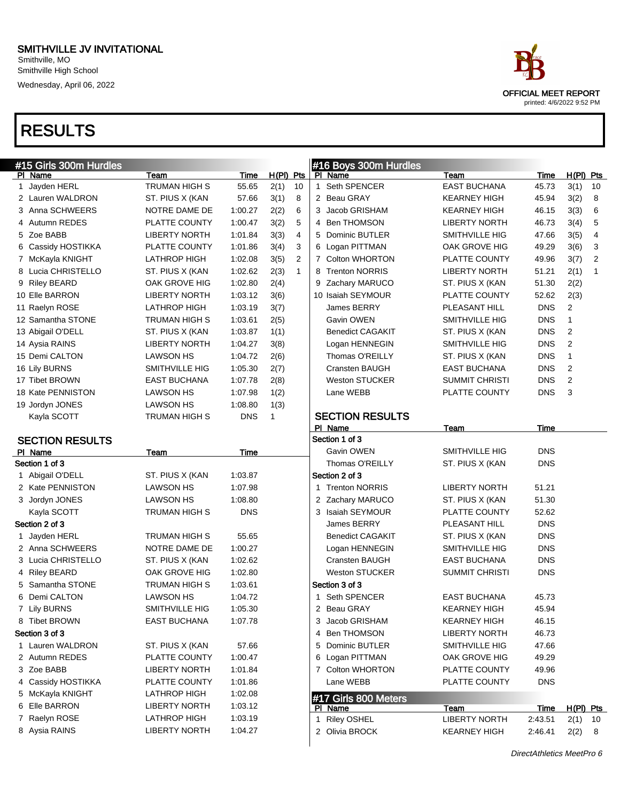| #15 Girls 300m Hurdles |                       |            |             |                | #16 Boys 300m Hurdles   |                       |             |                |              |
|------------------------|-----------------------|------------|-------------|----------------|-------------------------|-----------------------|-------------|----------------|--------------|
| PI Name                | Team                  | Time       | $H(PI)$ Pts |                | PI Name                 | Team                  | Time        | $H(PI)$ Pts    |              |
| 1 Jayden HERL          | <b>TRUMAN HIGH S</b>  | 55.65      | 2(1)        | 10             | 1 Seth SPENCER          | <b>EAST BUCHANA</b>   | 45.73       | 3(1)           | 10           |
| 2 Lauren WALDRON       | ST. PIUS X (KAN       | 57.66      | 3(1)        | 8              | 2 Beau GRAY             | <b>KEARNEY HIGH</b>   | 45.94       | 3(2)           | 8            |
| 3 Anna SCHWEERS        | NOTRE DAME DE         | 1:00.27    | 2(2)        | 6              | 3 Jacob GRISHAM         | <b>KEARNEY HIGH</b>   | 46.15       | 3(3)           | 6            |
| 4 Autumn REDES         | PLATTE COUNTY         | 1:00.47    | 3(2)        | 5              | 4 Ben THOMSON           | <b>LIBERTY NORTH</b>  | 46.73       | 3(4)           | 5            |
| 5 Zoe BABB             | <b>LIBERTY NORTH</b>  | 1:01.84    | 3(3)        | $\overline{4}$ | 5 Dominic BUTLER        | <b>SMITHVILLE HIG</b> | 47.66       | 3(5)           | 4            |
| 6 Cassidy HOSTIKKA     | PLATTE COUNTY         | 1:01.86    | 3(4)        | 3              | 6 Logan PITTMAN         | OAK GROVE HIG         | 49.29       | 3(6)           | 3            |
| 7 McKayla KNIGHT       | LATHROP HIGH          | 1:02.08    | 3(5)        | $\overline{2}$ | 7 Colton WHORTON        | PLATTE COUNTY         | 49.96       | 3(7)           | 2            |
| 8 Lucia CHRISTELLO     | ST. PIUS X (KAN       | 1:02.62    | 2(3)        | $\mathbf{1}$   | 8 Trenton NORRIS        | <b>LIBERTY NORTH</b>  | 51.21       | 2(1)           | $\mathbf{1}$ |
| 9 Riley BEARD          | OAK GROVE HIG         | 1:02.80    | 2(4)        |                | 9 Zachary MARUCO        | ST. PIUS X (KAN       | 51.30       | 2(2)           |              |
| 10 Elle BARRON         | <b>LIBERTY NORTH</b>  | 1:03.12    | 3(6)        |                | 10 Isaiah SEYMOUR       | PLATTE COUNTY         | 52.62       | 2(3)           |              |
| 11 Raelyn ROSE         | <b>LATHROP HIGH</b>   | 1:03.19    | 3(7)        |                | James BERRY             | PLEASANT HILL         | <b>DNS</b>  | 2              |              |
| 12 Samantha STONE      | TRUMAN HIGH S         | 1:03.61    | 2(5)        |                | Gavin OWEN              | <b>SMITHVILLE HIG</b> | <b>DNS</b>  | $\mathbf{1}$   |              |
| 13 Abigail O'DELL      | ST. PIUS X (KAN       | 1:03.87    | 1(1)        |                | <b>Benedict CAGAKIT</b> | ST. PIUS X (KAN       | <b>DNS</b>  | 2              |              |
| 14 Aysia RAINS         | <b>LIBERTY NORTH</b>  | 1:04.27    | 3(8)        |                | Logan HENNEGIN          | SMITHVILLE HIG        | <b>DNS</b>  | $\overline{2}$ |              |
| 15 Demi CALTON         | <b>LAWSON HS</b>      | 1:04.72    | 2(6)        |                | Thomas O'REILLY         | ST. PIUS X (KAN       | <b>DNS</b>  | $\mathbf{1}$   |              |
| 16 Lily BURNS          | <b>SMITHVILLE HIG</b> | 1:05.30    | 2(7)        |                | Cransten BAUGH          | EAST BUCHANA          | <b>DNS</b>  | 2              |              |
| 17 Tibet BROWN         | <b>EAST BUCHANA</b>   | 1:07.78    | 2(8)        |                | <b>Weston STUCKER</b>   | SUMMIT CHRISTI        | <b>DNS</b>  | 2              |              |
| 18 Kate PENNISTON      | <b>LAWSON HS</b>      | 1:07.98    | 1(2)        |                | Lane WEBB               | PLATTE COUNTY         | <b>DNS</b>  | 3              |              |
| 19 Jordyn JONES        | <b>LAWSON HS</b>      | 1:08.80    | 1(3)        |                |                         |                       |             |                |              |
| Kayla SCOTT            | <b>TRUMAN HIGH S</b>  | <b>DNS</b> | 1           |                | <b>SECTION RESULTS</b>  |                       |             |                |              |
|                        |                       |            |             |                | PI Name                 | Team                  | <b>Time</b> |                |              |
| <b>SECTION RESULTS</b> |                       |            |             |                | Section 1 of 3          |                       |             |                |              |
| PI Name                | Team                  | Time       |             |                | Gavin OWEN              | SMITHVILLE HIG        | <b>DNS</b>  |                |              |
| Section 1 of 3         |                       |            |             |                | Thomas O'REILLY         | ST. PIUS X (KAN       | <b>DNS</b>  |                |              |
| 1 Abigail O'DELL       | ST. PIUS X (KAN       | 1:03.87    |             |                | Section 2 of 3          |                       |             |                |              |
| 2 Kate PENNISTON       | <b>LAWSON HS</b>      | 1:07.98    |             |                | 1 Trenton NORRIS        | <b>LIBERTY NORTH</b>  | 51.21       |                |              |
| 3 Jordyn JONES         | <b>LAWSON HS</b>      | 1:08.80    |             |                | 2 Zachary MARUCO        | ST. PIUS X (KAN       | 51.30       |                |              |
| Kayla SCOTT            | <b>TRUMAN HIGH S</b>  | <b>DNS</b> |             |                | 3 Isaiah SEYMOUR        | PLATTE COUNTY         | 52.62       |                |              |
| Section 2 of 3         |                       |            |             |                | James BERRY             | PLEASANT HILL         | <b>DNS</b>  |                |              |
| 1 Jayden HERL          | TRUMAN HIGH S         | 55.65      |             |                | <b>Benedict CAGAKIT</b> | ST. PIUS X (KAN       | <b>DNS</b>  |                |              |
| 2 Anna SCHWEERS        | NOTRE DAME DE         | 1:00.27    |             |                | Logan HENNEGIN          | SMITHVILLE HIG        | <b>DNS</b>  |                |              |
| 3 Lucia CHRISTELLO     | ST. PIUS X (KAN       | 1:02.62    |             |                | Cransten BAUGH          | <b>EAST BUCHANA</b>   | <b>DNS</b>  |                |              |
| 4 Riley BEARD          | OAK GROVE HIG         | 1:02.80    |             |                | Weston STUCKER          | <b>SUMMIT CHRISTI</b> | <b>DNS</b>  |                |              |
| 5 Samantha STONE       | <b>TRUMAN HIGH S</b>  | 1:03.61    |             |                | Section 3 of 3          |                       |             |                |              |
| 6 Demi CALTON          | <b>LAWSON HS</b>      | 1:04.72    |             |                | 1 Seth SPENCER          | EAST BUCHANA          | 45.73       |                |              |
| 7 Lily BURNS           | SMITHVILLE HIG        | 1:05.30    |             |                | 2 Beau GRAY             | <b>KEARNEY HIGH</b>   | 45.94       |                |              |
| 8 Tibet BROWN          | EAST BUCHANA          | 1:07.78    |             |                | 3 Jacob GRISHAM         | <b>KEARNEY HIGH</b>   | 46.15       |                |              |
| Section 3 of 3         |                       |            |             |                | 4 Ben THOMSON           | <b>LIBERTY NORTH</b>  | 46.73       |                |              |
| 1 Lauren WALDRON       | ST. PIUS X (KAN       | 57.66      |             |                | 5 Dominic BUTLER        | SMITHVILLE HIG        | 47.66       |                |              |
| 2 Autumn REDES         | PLATTE COUNTY         | 1:00.47    |             |                | 6 Logan PITTMAN         | OAK GROVE HIG         | 49.29       |                |              |
| 3 Zoe BABB             | <b>LIBERTY NORTH</b>  | 1:01.84    |             |                | 7 Colton WHORTON        | PLATTE COUNTY         | 49.96       |                |              |
| 4 Cassidy HOSTIKKA     | PLATTE COUNTY         | 1:01.86    |             |                | Lane WEBB               | PLATTE COUNTY         | <b>DNS</b>  |                |              |
| 5 McKayla KNIGHT       | LATHROP HIGH          | 1:02.08    |             |                | #17 Girls 800 Meters    |                       |             |                |              |
| 6 Elle BARRON          | <b>LIBERTY NORTH</b>  | 1:03.12    |             |                | PI Name                 | Team                  | <b>Time</b> | H(PI) Pts      |              |
| 7 Raelyn ROSE          | <b>LATHROP HIGH</b>   | 1:03.19    |             |                | 1 Riley OSHEL           | <b>LIBERTY NORTH</b>  | 2:43.51     | 2(1)           | 10           |
| 8 Aysia RAINS          | <b>LIBERTY NORTH</b>  | 1:04.27    |             |                | 2 Olivia BROCK          | <b>KEARNEY HIGH</b>   | 2:46.41     | $2(2)$ 8       |              |

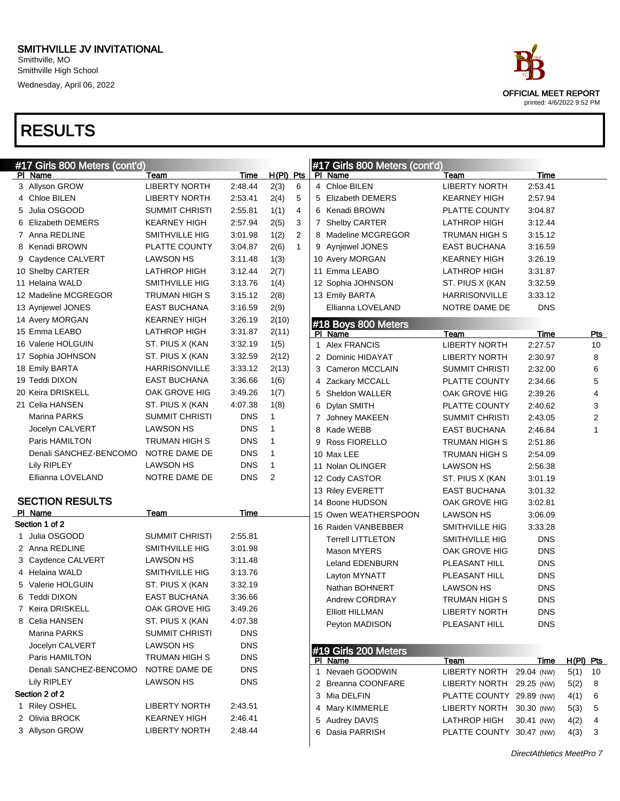

| #17 Girls 800 Meters (cont'd) |                        |                       |            |              |              | #17 Girls 800 Meters (cont'd) |                          |                          |            |             |                         |
|-------------------------------|------------------------|-----------------------|------------|--------------|--------------|-------------------------------|--------------------------|--------------------------|------------|-------------|-------------------------|
|                               | <u>PI Name</u>         | Team                  | Time       | $H(PI)$ Pts  |              |                               | PI Name                  | Team                     | Time       |             |                         |
|                               | 3 Allyson GROW         | <b>LIBERTY NORTH</b>  | 2:48.44    | 2(3)         | 6            |                               | 4 Chloe BILEN            | <b>LIBERTY NORTH</b>     | 2:53.41    |             |                         |
|                               | 4 Chloe BILEN          | <b>LIBERTY NORTH</b>  | 2:53.41    | 2(4)<br>5    |              |                               | 5 Elizabeth DEMERS       | <b>KEARNEY HIGH</b>      | 2:57.94    |             |                         |
|                               | 5 Julia OSGOOD         | <b>SUMMIT CHRISTI</b> | 2:55.81    | 1(1)         | 4            |                               | 6 Kenadi BROWN           | PLATTE COUNTY            | 3:04.87    |             |                         |
|                               | 6 Elizabeth DEMERS     | <b>KEARNEY HIGH</b>   | 2:57.94    | 2(5)         | 3            |                               | 7 Shelby CARTER          | LATHROP HIGH             | 3:12.44    |             |                         |
|                               | 7 Anna REDLINE         | SMITHVILLE HIG        | 3:01.98    | 1(2)         | 2            |                               | 8 Madeline MCGREGOR      | TRUMAN HIGH S            | 3:15.12    |             |                         |
|                               | 8 Kenadi BROWN         | PLATTE COUNTY         | 3:04.87    | 2(6)         | $\mathbf{1}$ |                               | 9 Aynjewel JONES         | <b>EAST BUCHANA</b>      | 3:16.59    |             |                         |
|                               | 9 Caydence CALVERT     | <b>LAWSON HS</b>      | 3:11.48    | 1(3)         |              |                               | 10 Avery MORGAN          | <b>KEARNEY HIGH</b>      | 3:26.19    |             |                         |
|                               | 10 Shelby CARTER       | <b>LATHROP HIGH</b>   | 3:12.44    | 2(7)         |              |                               | 11 Emma LEABO            | LATHROP HIGH             | 3:31.87    |             |                         |
|                               | 11 Helaina WALD        | SMITHVILLE HIG        | 3:13.76    | 1(4)         |              |                               | 12 Sophia JOHNSON        | ST. PIUS X (KAN          | 3:32.59    |             |                         |
|                               | 12 Madeline MCGREGOR   | TRUMAN HIGH S         | 3:15.12    | 2(8)         |              |                               | 13 Emily BARTA           | <b>HARRISONVILLE</b>     | 3:33.12    |             |                         |
|                               | 13 Aynjewel JONES      | <b>EAST BUCHANA</b>   | 3:16.59    | 2(9)         |              |                               | Ellianna LOVELAND        | NOTRE DAME DE            | <b>DNS</b> |             |                         |
|                               | 14 Avery MORGAN        | <b>KEARNEY HIGH</b>   | 3:26.19    | 2(10)        |              |                               | #18 Boys 800 Meters      |                          |            |             |                         |
|                               | 15 Emma LEABO          | LATHROP HIGH          | 3:31.87    | 2(11)        |              |                               | PI Name                  | Team                     | Time       |             | <u>Pts</u>              |
|                               | 16 Valerie HOLGUIN     | ST. PIUS X (KAN       | 3:32.19    | 1(5)         |              | $\mathbf{1}$                  | <b>Alex FRANCIS</b>      | <b>LIBERTY NORTH</b>     | 2:27.57    |             | 10                      |
|                               | 17 Sophia JOHNSON      | ST. PIUS X (KAN       | 3:32.59    | 2(12)        |              |                               | 2 Dominic HIDAYAT        | <b>LIBERTY NORTH</b>     | 2:30.97    |             | 8                       |
|                               | 18 Emily BARTA         | <b>HARRISONVILLE</b>  | 3:33.12    | 2(13)        |              |                               | 3 Cameron MCCLAIN        | <b>SUMMIT CHRISTI</b>    | 2:32.00    |             | 6                       |
|                               | 19 Teddi DIXON         | <b>EAST BUCHANA</b>   | 3:36.66    | 1(6)         |              |                               | 4 Zackary MCCALL         | PLATTE COUNTY            | 2:34.66    |             | 5                       |
|                               | 20 Keira DRISKELL      | OAK GROVE HIG         | 3:49.26    | 1(7)         |              | 5                             | Sheldon WALLER           | OAK GROVE HIG            | 2:39.26    |             | 4                       |
|                               | 21 Celia HANSEN        | ST. PIUS X (KAN       | 4:07.38    | 1(8)         |              |                               | 6 Dylan SMITH            | PLATTE COUNTY            | 2:40.62    |             | 3                       |
|                               | <b>Marina PARKS</b>    | <b>SUMMIT CHRISTI</b> | <b>DNS</b> | $\mathbf{1}$ |              |                               | 7 Johney MAKEEN          | <b>SUMMIT CHRISTI</b>    | 2:43.05    |             | $\overline{\mathbf{c}}$ |
|                               | Jocelyn CALVERT        | LAWSON HS             | <b>DNS</b> | $\mathbf{1}$ |              |                               | 8 Kade WEBB              | <b>EAST BUCHANA</b>      | 2:46.84    |             | 1                       |
|                               | Paris HAMILTON         | <b>TRUMAN HIGH S</b>  | <b>DNS</b> | $\mathbf{1}$ |              | 9                             | Ross FIORELLO            | TRUMAN HIGH S            | 2:51.86    |             |                         |
|                               | Denali SANCHEZ-BENCOMO | NOTRE DAME DE         | <b>DNS</b> | $\mathbf{1}$ |              |                               | 10 Max LEE               | TRUMAN HIGH S            | 2:54.09    |             |                         |
|                               | Lily RIPLEY            | LAWSON HS             | <b>DNS</b> | $\mathbf{1}$ |              |                               | 11 Nolan OLINGER         | <b>LAWSON HS</b>         | 2:56.38    |             |                         |
|                               | Ellianna LOVELAND      | NOTRE DAME DE         | <b>DNS</b> | 2            |              |                               | 12 Cody CASTOR           | ST. PIUS X (KAN          | 3:01.19    |             |                         |
|                               |                        |                       |            |              |              |                               | 13 Riley EVERETT         | <b>EAST BUCHANA</b>      | 3:01.32    |             |                         |
|                               | <b>SECTION RESULTS</b> |                       |            |              |              |                               | 14 Boone HUDSON          | OAK GROVE HIG            | 3:02.81    |             |                         |
|                               | PI Name                | Team                  | Time       |              |              |                               | 15 Owen WEATHERSPOON     | <b>LAWSON HS</b>         | 3:06.09    |             |                         |
|                               | Section 1 of 2         |                       |            |              |              |                               | 16 Raiden VANBEBBER      | SMITHVILLE HIG           | 3:33.28    |             |                         |
|                               | 1 Julia OSGOOD         | <b>SUMMIT CHRISTI</b> | 2:55.81    |              |              |                               | <b>Terrell LITTLETON</b> | SMITHVILLE HIG           | <b>DNS</b> |             |                         |
|                               | 2 Anna REDLINE         | SMITHVILLE HIG        | 3:01.98    |              |              |                               | <b>Mason MYERS</b>       | OAK GROVE HIG            | <b>DNS</b> |             |                         |
|                               | 3 Caydence CALVERT     | <b>LAWSON HS</b>      | 3:11.48    |              |              |                               | Leland EDENBURN          | PLEASANT HILL            | <b>DNS</b> |             |                         |
|                               | 4 Helaina WALD         | SMITHVILLE HIG        | 3:13.76    |              |              |                               | Layton MYNATT            | PLEASANT HILL            | <b>DNS</b> |             |                         |
|                               | 5 Valerie HOLGUIN      | ST. PIUS X (KAN       | 3:32.19    |              |              |                               | Nathan BOHNERT           | <b>LAWSON HS</b>         | <b>DNS</b> |             |                         |
|                               | 6 Teddi DIXON          | <b>EAST BUCHANA</b>   | 3:36.66    |              |              |                               | Andrew CORDRAY           | <b>TRUMAN HIGH S</b>     | <b>DNS</b> |             |                         |
|                               | 7 Keira DRISKELL       | OAK GROVE HIG         | 3:49.26    |              |              |                               | <b>Elliott HILLMAN</b>   | <b>LIBERTY NORTH</b>     | <b>DNS</b> |             |                         |
|                               | 8 Celia HANSEN         | ST. PIUS X (KAN       | 4:07.38    |              |              |                               | Peyton MADISON           | PLEASANT HILL            | <b>DNS</b> |             |                         |
|                               | Marina PARKS           | <b>SUMMIT CHRISTI</b> | <b>DNS</b> |              |              |                               |                          |                          |            |             |                         |
|                               | Jocelyn CALVERT        | LAWSON HS             | <b>DNS</b> |              |              |                               | #19 Girls 200 Meters     |                          |            |             |                         |
|                               | Paris HAMILTON         | TRUMAN HIGH S         | <b>DNS</b> |              |              |                               | PI Name                  | Team                     | Time       | $H(PI)$ Pts |                         |
|                               | Denali SANCHEZ-BENCOMO | NOTRE DAME DE         | <b>DNS</b> |              |              |                               | 1 Nevaeh GOODWIN         | <b>LIBERTY NORTH</b>     | 29.04 (NW) | 5(1)        | 10                      |
|                               | Lily RIPLEY            | <b>LAWSON HS</b>      | <b>DNS</b> |              |              |                               | 2 Breanna COONFARE       | LIBERTY NORTH            | 29.25 (NW) | 5(2)        | 8                       |
|                               | Section 2 of 2         |                       |            |              |              |                               | 3 Mia DELFIN             | PLATTE COUNTY 29.89 (NW) |            | 4(1)        | 6                       |
|                               | 1 Riley OSHEL          | <b>LIBERTY NORTH</b>  | 2:43.51    |              |              |                               | 4 Mary KIMMERLE          | LIBERTY NORTH            | 30.30 (NW) | 5(3)        | 5                       |
|                               | 2 Olivia BROCK         | <b>KEARNEY HIGH</b>   | 2:46.41    |              |              | 5                             | Audrey DAVIS             | LATHROP HIGH             | 30.41 (NW) | 4(2)        | 4                       |
|                               | 3 Allyson GROW         | <b>LIBERTY NORTH</b>  | 2:48.44    |              |              | 6                             | Dasia PARRISH            | PLATTE COUNTY 30.47 (NW) |            | 4(3)        | 3                       |
|                               |                        |                       |            |              |              |                               |                          |                          |            |             |                         |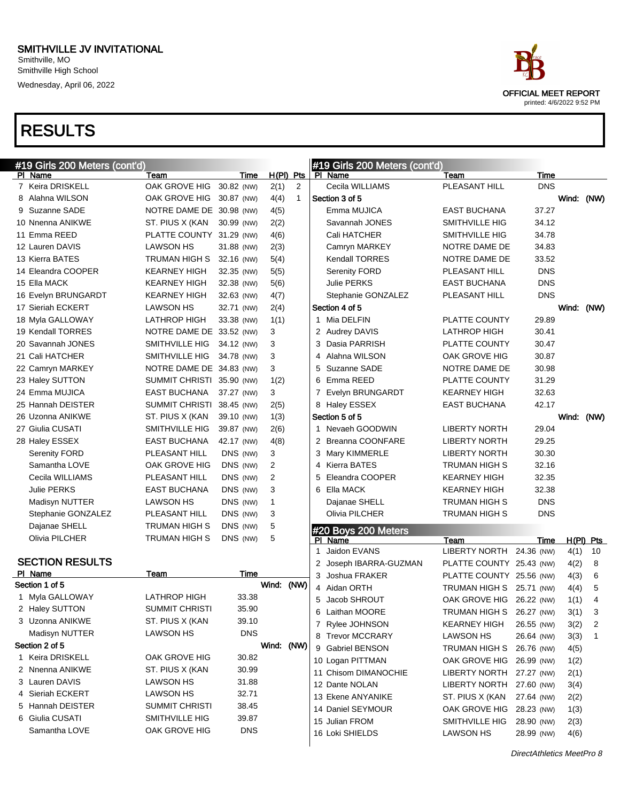| #19 Girls 200 Meters (cont'd) |                           |            |            |              | #19 Girls 200 Meters (cont'd)  |                          |            |            |             |
|-------------------------------|---------------------------|------------|------------|--------------|--------------------------------|--------------------------|------------|------------|-------------|
| PI Name                       | Team                      | Time       |            | $H(PI)$ Pts  | PI Name                        | Team                     | Time       |            |             |
| 7 Keira DRISKELL              | OAK GROVE HIG             | 30.82 (NW) | 2(1)       | 2            | Cecila WILLIAMS                | PLEASANT HILL            | <b>DNS</b> |            |             |
| 8 Alahna WILSON               | OAK GROVE HIG 30.87 (NW)  |            | 4(4)       | $\mathbf{1}$ | Section 3 of 5                 |                          |            | Wind: (NW) |             |
| 9 Suzanne SADE                | NOTRE DAME DE 30.98 (NW)  |            | 4(5)       |              | Emma MUJICA                    | <b>EAST BUCHANA</b>      | 37.27      |            |             |
| 10 Nnenna ANIKWE              | ST. PIUS X (KAN           | 30.99 (NW) | 2(2)       |              | Savannah JONES                 | <b>SMITHVILLE HIG</b>    | 34.12      |            |             |
| 11 Emma REED                  | PLATTE COUNTY 31.29 (NW)  |            | 4(6)       |              | Cali HATCHER                   | <b>SMITHVILLE HIG</b>    | 34.78      |            |             |
| 12 Lauren DAVIS               | <b>LAWSON HS</b>          | 31.88 (NW) | 2(3)       |              | Camryn MARKEY                  | NOTRE DAME DE            | 34.83      |            |             |
| 13 Kierra BATES               | TRUMAN HIGH S             | 32.16 (NW) | 5(4)       |              | <b>Kendall TORRES</b>          | NOTRE DAME DE            | 33.52      |            |             |
| 14 Eleandra COOPER            | KEARNEY HIGH              | 32.35 (NW) | 5(5)       |              | <b>Serenity FORD</b>           | PLEASANT HILL            | <b>DNS</b> |            |             |
| 15 Ella MACK                  | KEARNEY HIGH              | 32.38 (NW) | 5(6)       |              | Julie PERKS                    | <b>EAST BUCHANA</b>      | <b>DNS</b> |            |             |
| 16 Evelyn BRUNGARDT           | KEARNEY HIGH              | 32.63 (NW) | 4(7)       |              | Stephanie GONZALEZ             | PLEASANT HILL            | <b>DNS</b> |            |             |
| 17 Sieriah ECKERT             | <b>LAWSON HS</b>          | 32.71 (NW) | 2(4)       |              | Section 4 of 5                 |                          |            | Wind: (NW) |             |
| 18 Myla GALLOWAY              | LATHROP HIGH              | 33.38 (NW) | 1(1)       |              | 1 Mia DELFIN                   | PLATTE COUNTY            | 29.89      |            |             |
| 19 Kendall TORRES             | NOTRE DAME DE 33.52 (NW)  |            | 3          |              | 2 Audrey DAVIS                 | <b>LATHROP HIGH</b>      | 30.41      |            |             |
| 20 Savannah JONES             | SMITHVILLE HIG            | 34.12 (NW) | 3          |              | 3 Dasia PARRISH                | PLATTE COUNTY            | 30.47      |            |             |
| 21 Cali HATCHER               | SMITHVILLE HIG            | 34.78 (NW) | 3          |              | 4 Alahna WILSON                | OAK GROVE HIG            | 30.87      |            |             |
| 22 Camryn MARKEY              | NOTRE DAME DE 34.83 (NW)  |            | 3          |              | 5 Suzanne SADE                 | NOTRE DAME DE            | 30.98      |            |             |
| 23 Haley SUTTON               | SUMMIT CHRISTI 35.90 (NW) |            | 1(2)       |              | 6 Emma REED                    | PLATTE COUNTY            | 31.29      |            |             |
| 24 Emma MUJICA                | <b>EAST BUCHANA</b>       | 37.27 (NW) | 3          |              | 7 Evelyn BRUNGARDT             | <b>KEARNEY HIGH</b>      | 32.63      |            |             |
| 25 Hannah DEISTER             | SUMMIT CHRISTI 38.45 (NW) |            | 2(5)       |              | 8 Haley ESSEX                  | <b>EAST BUCHANA</b>      | 42.17      |            |             |
| 26 Uzonna ANIKWE              | ST. PIUS X (KAN           | 39.10 (NW) | 1(3)       |              | Section 5 of 5                 |                          |            | Wind: (NW) |             |
| 27 Giulia CUSATI              | SMITHVILLE HIG            | 39.87 (NW) | 2(6)       |              | 1 Nevaeh GOODWIN               | <b>LIBERTY NORTH</b>     | 29.04      |            |             |
| 28 Haley ESSEX                | <b>EAST BUCHANA</b>       | 42.17 (NW) | 4(8)       |              | 2 Breanna COONFARE             | <b>LIBERTY NORTH</b>     | 29.25      |            |             |
| <b>Serenity FORD</b>          | PLEASANT HILL             | DNS (NW)   | 3          |              | 3 Mary KIMMERLE                | <b>LIBERTY NORTH</b>     | 30.30      |            |             |
| Samantha LOVE                 | OAK GROVE HIG             | DNS (NW)   | 2          |              | 4 Kierra BATES                 | <b>TRUMAN HIGH S</b>     | 32.16      |            |             |
| Cecila WILLIAMS               | PLEASANT HILL             | DNS (NW)   | 2          |              | 5 Eleandra COOPER              | <b>KEARNEY HIGH</b>      | 32.35      |            |             |
| Julie PERKS                   | <b>EAST BUCHANA</b>       | DNS (NW)   | 3          |              | 6 Ella MACK                    | <b>KEARNEY HIGH</b>      | 32.38      |            |             |
| Madisyn NUTTER                | <b>LAWSON HS</b>          | DNS (NW)   | 1          |              | Dajanae SHELL                  | <b>TRUMAN HIGH S</b>     | <b>DNS</b> |            |             |
| Stephanie GONZALEZ            | PLEASANT HILL             | DNS (NW)   | 3          |              | Olivia PILCHER                 | <b>TRUMAN HIGH S</b>     | <b>DNS</b> |            |             |
| Dajanae SHELL                 | TRUMAN HIGH S             | DNS (NW)   | 5          |              |                                |                          |            |            |             |
| Olivia PILCHER                | <b>TRUMAN HIGH S</b>      | DNS (NW)   | 5          |              | #20 Boys 200 Meters<br>PI Name | Team                     | Time       |            | $H(PI)$ Pts |
|                               |                           |            |            |              | Jaidon EVANS                   | LIBERTY NORTH 24.36 (NW) |            | 4(1)       | 10          |
| <b>SECTION RESULTS</b>        |                           |            |            |              | 2 Joseph IBARRA-GUZMAN         | PLATTE COUNTY 25.43 (NW) |            | 4(2)       | 8           |
| PI Name                       | Team                      | Time       |            |              | 3 Joshua FRAKER                | PLATTE COUNTY 25.56 (NW) |            | 4(3)       | 6           |
| Section 1 of 5                |                           |            | Wind: (NW) |              | 4 Aidan ORTH                   | TRUMAN HIGH S 25.71 (NW) |            | 4(4)       | 5           |
| 1 Myla GALLOWAY               | <b>LATHROP HIGH</b>       | 33.38      |            |              | 5 Jacob SHROUT                 | OAK GROVE HIG 26.22 (NW) |            | 1(1)       | 4           |
| 2 Haley SUTTON                | <b>SUMMIT CHRISTI</b>     | 35.90      |            |              | 6 Laithan MOORE                | TRUMAN HIGH S 26.27 (NW) |            | 3(1)       | 3           |
| 3 Uzonna ANIKWE               | ST. PIUS X (KAN           | 39.10      |            |              | 7 Rylee JOHNSON                | <b>KEARNEY HIGH</b>      | 26.55 (NW) | 3(2)       | 2           |
| Madisyn NUTTER                | LAWSON HS                 | <b>DNS</b> |            |              | 8 Trevor MCCRARY               | <b>LAWSON HS</b>         | 26.64 (NW) | 3(3)       | 1           |
| Section 2 of 5                |                           |            | Wind: (NW) |              | 9 Gabriel BENSON               | TRUMAN HIGH S 26.76 (NW) |            | 4(5)       |             |
| 1 Keira DRISKELL              | OAK GROVE HIG             | 30.82      |            |              | 10 Logan PITTMAN               | OAK GROVE HIG 26.99 (NW) |            | 1(2)       |             |
| 2 Nnenna ANIKWE               | ST. PIUS X (KAN           | 30.99      |            |              | 11 Chisom DIMANOCHIE           | LIBERTY NORTH 27.27 (NW) |            | 2(1)       |             |
| 3 Lauren DAVIS                | LAWSON HS                 | 31.88      |            |              | 12 Dante NOLAN                 | LIBERTY NORTH 27.60 (NW) |            | 3(4)       |             |
| 4 Sieriah ECKERT              | <b>LAWSON HS</b>          | 32.71      |            |              | 13 Ekene ANYANIKE              | ST. PIUS X (KAN          | 27.64 (NW) |            |             |
| 5 Hannah DEISTER              | <b>SUMMIT CHRISTI</b>     | 38.45      |            |              | 14 Daniel SEYMOUR              | OAK GROVE HIG 28.23 (NW) |            | 2(2)       |             |
| 6 Giulia CUSATI               | SMITHVILLE HIG            | 39.87      |            |              | 15 Julian FROM                 | SMITHVILLE HIG           | 28.90 (NW) | 1(3)       |             |
| Samantha LOVE                 | OAK GROVE HIG             | <b>DNS</b> |            |              | 16 Loki SHIELDS                | <b>LAWSON HS</b>         | 28.99 (NW) | 2(3)       |             |
|                               |                           |            |            |              |                                |                          |            | 4(6)       |             |

DirectAthletics MeetPro 8

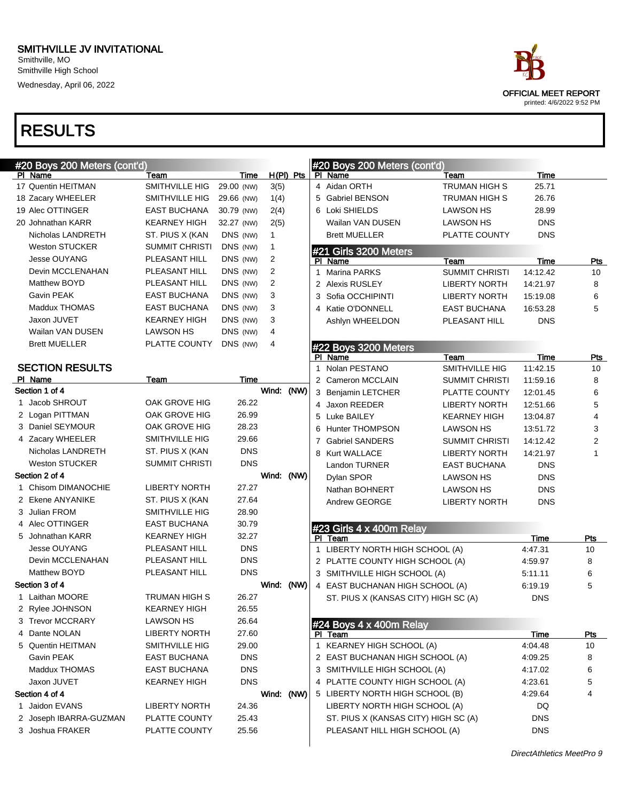| #20 Boys 200 Meters (cont'd) |                       |             |                |             |   | #20 Boys 200 Meters (cont'd)         |                       |             |            |
|------------------------------|-----------------------|-------------|----------------|-------------|---|--------------------------------------|-----------------------|-------------|------------|
| PI Name                      | Team                  | Time        |                | $H(PI)$ Pts |   | PI Name                              | Team                  | Time        |            |
| 17 Quentin HEITMAN           | SMITHVILLE HIG        | 29.00 (NW)  | 3(5)           |             |   | 4 Aidan ORTH                         | <b>TRUMAN HIGH S</b>  | 25.71       |            |
| 18 Zacary WHEELER            | SMITHVILLE HIG        | 29.66 (NW)  | 1(4)           |             |   | 5 Gabriel BENSON                     | <b>TRUMAN HIGH S</b>  | 26.76       |            |
| 19 Alec OTTINGER             | <b>EAST BUCHANA</b>   | 30.79 (NW)  | 2(4)           |             |   | 6 Loki SHIELDS                       | <b>LAWSON HS</b>      | 28.99       |            |
| 20 Johnathan KARR            | <b>KEARNEY HIGH</b>   | 32.27 (NW)  | 2(5)           |             |   | Wailan VAN DUSEN                     | <b>LAWSON HS</b>      | <b>DNS</b>  |            |
| Nicholas LANDRETH            | ST. PIUS X (KAN       | DNS (NW)    | $\mathbf{1}$   |             |   | <b>Brett MUELLER</b>                 | PLATTE COUNTY         | <b>DNS</b>  |            |
| <b>Weston STUCKER</b>        | <b>SUMMIT CHRISTI</b> | DNS (NW)    | $\mathbf{1}$   |             |   | #21 Girls 3200 Meters                |                       |             |            |
| <b>Jesse OUYANG</b>          | PLEASANT HILL         | DNS (NW)    | $\overline{2}$ |             |   | PI Name                              | Team                  | <b>Time</b> | Pts        |
| <b>Devin MCCLENAHAN</b>      | PLEASANT HILL         | DNS (NW)    | $\overline{2}$ |             | 1 | <b>Marina PARKS</b>                  | <b>SUMMIT CHRISTI</b> | 14:12.42    | 10         |
| Matthew BOYD                 | PLEASANT HILL         | DNS (NW)    | $\overline{2}$ |             |   | 2 Alexis RUSLEY                      | <b>LIBERTY NORTH</b>  | 14:21.97    | 8          |
| Gavin PEAK                   | <b>EAST BUCHANA</b>   | DNS (NW)    | 3              |             |   | 3 Sofia OCCHIPINTI                   | <b>LIBERTY NORTH</b>  | 15:19.08    | 6          |
| Maddux THOMAS                | <b>EAST BUCHANA</b>   | DNS (NW)    | 3              |             |   | 4 Katie O'DONNELL                    | <b>EAST BUCHANA</b>   | 16:53.28    | 5          |
| Jaxon JUVET                  | <b>KEARNEY HIGH</b>   | DNS (NW)    | 3              |             |   | Ashlyn WHEELDON                      | PLEASANT HILL         | <b>DNS</b>  |            |
| Wailan VAN DUSEN             | <b>LAWSON HS</b>      | DNS (NW)    | 4              |             |   |                                      |                       |             |            |
| <b>Brett MUELLER</b>         | PLATTE COUNTY         | DNS (NW)    | 4              |             |   | #22 Boys 3200 Meters                 |                       |             |            |
|                              |                       |             |                |             |   | PI Name                              | Team                  | Time        | <b>Pts</b> |
| <b>SECTION RESULTS</b>       |                       |             |                |             | 1 | Nolan PESTANO                        | SMITHVILLE HIG        | 11:42.15    | 10         |
| PI Name                      | Team                  | <b>Time</b> |                |             |   | 2 Cameron MCCLAIN                    | <b>SUMMIT CHRISTI</b> | 11:59.16    | 8          |
| Section 1 of 4               |                       |             | Wind: (NW)     |             |   | 3 Benjamin LETCHER                   | PLATTE COUNTY         | 12:01.45    | 6          |
| 1 Jacob SHROUT               | OAK GROVE HIG         | 26.22       |                |             |   | 4 Jaxon REEDER                       | <b>LIBERTY NORTH</b>  | 12:51.66    | 5          |
| 2 Logan PITTMAN              | OAK GROVE HIG         | 26.99       |                |             |   | 5 Luke BAILEY                        | <b>KEARNEY HIGH</b>   | 13:04.87    | 4          |
| 3 Daniel SEYMOUR             | OAK GROVE HIG         | 28.23       |                |             | 6 | <b>Hunter THOMPSON</b>               | <b>LAWSON HS</b>      | 13:51.72    | 3          |
| 4 Zacary WHEELER             | <b>SMITHVILLE HIG</b> | 29.66       |                |             |   | 7 Gabriel SANDERS                    | SUMMIT CHRISTI        | 14:12.42    | 2          |
| Nicholas LANDRETH            | ST. PIUS X (KAN       | <b>DNS</b>  |                |             |   | 8 Kurt WALLACE                       | <b>LIBERTY NORTH</b>  | 14:21.97    | 1          |
| <b>Weston STUCKER</b>        | <b>SUMMIT CHRISTI</b> | <b>DNS</b>  |                |             |   | Landon TURNER                        | <b>EAST BUCHANA</b>   | <b>DNS</b>  |            |
| Section 2 of 4               |                       |             | Wind: (NW)     |             |   | Dylan SPOR                           | <b>LAWSON HS</b>      | <b>DNS</b>  |            |
| 1 Chisom DIMANOCHIE          | <b>LIBERTY NORTH</b>  | 27.27       |                |             |   | Nathan BOHNERT                       | <b>LAWSON HS</b>      | <b>DNS</b>  |            |
| 2 Ekene ANYANIKE             | ST. PIUS X (KAN       | 27.64       |                |             |   | Andrew GEORGE                        | <b>LIBERTY NORTH</b>  | <b>DNS</b>  |            |
| 3 Julian FROM                | <b>SMITHVILLE HIG</b> | 28.90       |                |             |   |                                      |                       |             |            |
| 4 Alec OTTINGER              | <b>EAST BUCHANA</b>   | 30.79       |                |             |   | #23 Girls 4 x 400m Relay             |                       |             |            |
| 5 Johnathan KARR             | <b>KEARNEY HIGH</b>   | 32.27       |                |             |   | PI Team                              |                       | Time        | Pts        |
| <b>Jesse OUYANG</b>          | PLEASANT HILL         | <b>DNS</b>  |                |             |   | 1 LIBERTY NORTH HIGH SCHOOL (A)      |                       | 4:47.31     | 10         |
| Devin MCCLENAHAN             | PLEASANT HILL         | <b>DNS</b>  |                |             |   | 2 PLATTE COUNTY HIGH SCHOOL (A)      |                       | 4:59.97     | 8          |
| Matthew BOYD                 | PLEASANT HILL         | <b>DNS</b>  |                |             |   | 3 SMITHVILLE HIGH SCHOOL (A)         |                       | 5:11.11     | 6          |
| Section 3 of 4               |                       |             | Wind: (NW)     |             |   | 4 EAST BUCHANAN HIGH SCHOOL (A)      |                       | 6:19.19     | 5          |
| 1 Laithan MOORE              | <b>TRUMAN HIGH S</b>  | 26.27       |                |             |   | ST. PIUS X (KANSAS CITY) HIGH SC (A) |                       | <b>DNS</b>  |            |
| 2 Rylee JOHNSON              | <b>KEARNEY HIGH</b>   | 26.55       |                |             |   |                                      |                       |             |            |
| 3 Trevor MCCRARY             | <b>LAWSON HS</b>      | 26.64       |                |             |   | #24 Boys 4 x 400m Relay              |                       |             |            |
| 4 Dante NOLAN                | <b>LIBERTY NORTH</b>  | 27.60       |                |             |   | PI Team                              |                       | Time        | <u>Pts</u> |
| 5 Quentin HEITMAN            | SMITHVILLE HIG        | 29.00       |                |             |   | 1 KEARNEY HIGH SCHOOL (A)            |                       | 4:04.48     | 10         |
| Gavin PEAK                   | EAST BUCHANA          | <b>DNS</b>  |                |             |   | 2 EAST BUCHANAN HIGH SCHOOL (A)      |                       | 4:09.25     | 8          |
| Maddux THOMAS                | EAST BUCHANA          | <b>DNS</b>  |                |             |   | 3 SMITHVILLE HIGH SCHOOL (A)         |                       | 4:17.02     | 6          |
| Jaxon JUVET                  | <b>KEARNEY HIGH</b>   | <b>DNS</b>  |                |             |   | 4 PLATTE COUNTY HIGH SCHOOL (A)      |                       | 4:23.61     | 5          |
| Section 4 of 4               |                       |             | Wind: (NW)     |             |   | 5 LIBERTY NORTH HIGH SCHOOL (B)      |                       | 4:29.64     | 4          |
| 1 Jaidon EVANS               | <b>LIBERTY NORTH</b>  | 24.36       |                |             |   | LIBERTY NORTH HIGH SCHOOL (A)        |                       | DQ          |            |
| 2 Joseph IBARRA-GUZMAN       | PLATTE COUNTY         | 25.43       |                |             |   | ST. PIUS X (KANSAS CITY) HIGH SC (A) |                       | <b>DNS</b>  |            |
| 3 Joshua FRAKER              | PLATTE COUNTY         | 25.56       |                |             |   | PLEASANT HILL HIGH SCHOOL (A)        |                       | <b>DNS</b>  |            |
|                              |                       |             |                |             |   |                                      |                       |             |            |

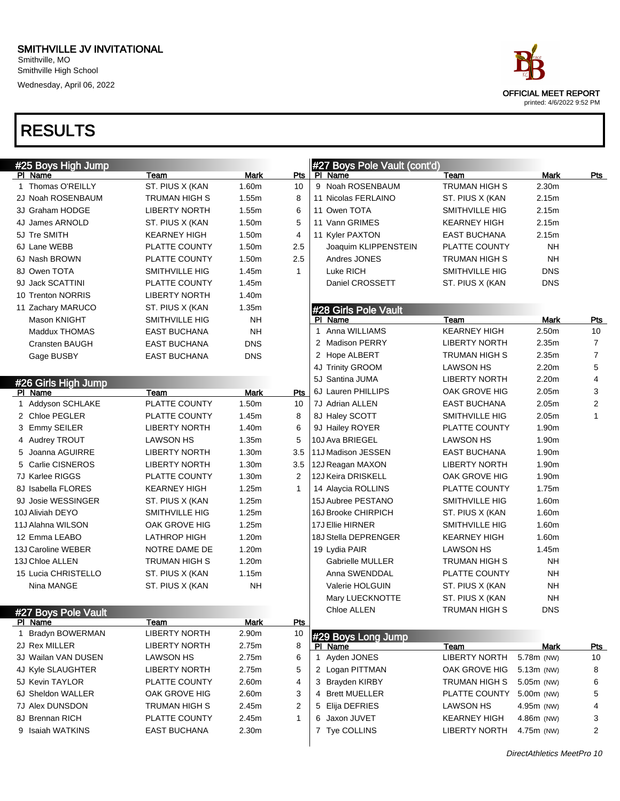#### SMITHVILLE JV INVITATIONAL Smithville, MO Smithville High School

Wednesday, April 06, 2022

| ace:                        |
|-----------------------------|
| <b>OFFICIAL MEET REPORT</b> |
| printed: 4/6/2022 9:52 PM   |

| #25 Boys High Jump    |                      |             |            | #27 Boys Pole Vault (cont'd) |                      |             |                |
|-----------------------|----------------------|-------------|------------|------------------------------|----------------------|-------------|----------------|
| PI Name               | Team                 | Mark        | Pts        | PI Name                      | Team                 | Mark        | <u>Pts</u>     |
| 1 Thomas O'REILLY     | ST. PIUS X (KAN      | 1.60m       | 10         | 9 Noah ROSENBAUM             | <b>TRUMAN HIGH S</b> | 2.30m       |                |
| 2J Noah ROSENBAUM     | TRUMAN HIGH S        | 1.55m       | 8          | 11 Nicolas FERLAINO          | ST. PIUS X (KAN      | 2.15m       |                |
| 3J Graham HODGE       | <b>LIBERTY NORTH</b> | 1.55m       | 6          | 11 Owen TOTA                 | SMITHVILLE HIG       | 2.15m       |                |
| 4J James ARNOLD       | ST. PIUS X (KAN      | 1.50m       | 5          | 11 Vann GRIMES               | <b>KEARNEY HIGH</b>  | 2.15m       |                |
| 5J Tre SMITH          | KEARNEY HIGH         | 1.50m       | 4          | 11 Kyler PAXTON              | <b>EAST BUCHANA</b>  | 2.15m       |                |
| 6J Lane WEBB          | PLATTE COUNTY        | 1.50m       | 2.5        | Joaquim KLIPPENSTEIN         | PLATTE COUNTY        | <b>NH</b>   |                |
| 6J Nash BROWN         | PLATTE COUNTY        | 1.50m       | 2.5        | Andres JONES                 | TRUMAN HIGH S        | <b>NH</b>   |                |
| 8J Owen TOTA          | SMITHVILLE HIG       | 1.45m       | 1          | Luke RICH                    | SMITHVILLE HIG       | <b>DNS</b>  |                |
| 9J Jack SCATTINI      | PLATTE COUNTY        | 1.45m       |            | Daniel CROSSETT              | ST. PIUS X (KAN      | <b>DNS</b>  |                |
| 10 Trenton NORRIS     | <b>LIBERTY NORTH</b> | 1.40m       |            |                              |                      |             |                |
| 11 Zachary MARUCO     | ST. PIUS X (KAN      | 1.35m       |            | #28 Girls Pole Vault         |                      |             |                |
| Mason KNIGHT          | SMITHVILLE HIG       | <b>NH</b>   |            | PI Name                      | Team                 | <b>Mark</b> | Pts            |
| Maddux THOMAS         | <b>EAST BUCHANA</b>  | <b>NH</b>   |            | 1 Anna WILLIAMS              | <b>KEARNEY HIGH</b>  | 2.50m       | 10             |
| <b>Cransten BAUGH</b> | <b>EAST BUCHANA</b>  | <b>DNS</b>  |            | 2 Madison PERRY              | <b>LIBERTY NORTH</b> | 2.35m       | $\overline{7}$ |
| Gage BUSBY            | <b>EAST BUCHANA</b>  | <b>DNS</b>  |            | 2 Hope ALBERT                | <b>TRUMAN HIGH S</b> | 2.35m       | $\overline{7}$ |
|                       |                      |             |            | 4J Trinity GROOM             | <b>LAWSON HS</b>     | 2.20m       | 5              |
| #26 Girls High Jump   |                      |             |            | 5J Santina JUMA              | <b>LIBERTY NORTH</b> | 2.20m       | 4              |
| PI Name               | Team                 | <b>Mark</b> | <b>Pts</b> | 6J Lauren PHILLIPS           | OAK GROVE HIG        | 2.05m       | 3              |
| 1 Addyson SCHLAKE     | PLATTE COUNTY        | 1.50m       | 10         | 7J Adrian ALLEN              | <b>EAST BUCHANA</b>  | 2.05m       | 2              |
| 2 Chloe PEGLER        | PLATTE COUNTY        | 1.45m       | 8          | 8J Haley SCOTT               | SMITHVILLE HIG       | 2.05m       | $\mathbf{1}$   |
| 3 Emmy SEILER         | <b>LIBERTY NORTH</b> | 1.40m       | 6          | 9J Hailey ROYER              | <b>PLATTE COUNTY</b> | 1.90m       |                |
| 4 Audrey TROUT        | <b>LAWSON HS</b>     | 1.35m       | 5          | 10J Ava BRIEGEL              | <b>LAWSON HS</b>     | 1.90m       |                |
| 5 Joanna AGUIRRE      | <b>LIBERTY NORTH</b> | 1.30m       | 3.5        | 11J Madison JESSEN           | <b>EAST BUCHANA</b>  | 1.90m       |                |
| 5 Carlie CISNEROS     | <b>LIBERTY NORTH</b> | 1.30m       | 3.5        | 12J Reagan MAXON             | <b>LIBERTY NORTH</b> | 1.90m       |                |
| 7J Karlee RIGGS       | PLATTE COUNTY        | 1.30m       | 2          | 12J Keira DRISKELL           | OAK GROVE HIG        | 1.90m       |                |
| 8J Isabella FLORES    | <b>KEARNEY HIGH</b>  | 1.25m       | 1          | 14 Alaycia ROLLINS           | PLATTE COUNTY        | 1.75m       |                |
| 9J Josie WESSINGER    | ST. PIUS X (KAN      | 1.25m       |            | 15J Aubree PESTANO           | SMITHVILLE HIG       | 1.60m       |                |
| 10J Aliviah DEYO      | SMITHVILLE HIG       | 1.25m       |            | 16J Brooke CHIRPICH          | ST. PIUS X (KAN      | 1.60m       |                |
| 11J Alahna WILSON     | OAK GROVE HIG        | 1.25m       |            | 17J Ellie HIRNER             | SMITHVILLE HIG       | 1.60m       |                |
| 12 Emma LEABO         | LATHROP HIGH         | 1.20m       |            | 18J Stella DEPRENGER         | <b>KEARNEY HIGH</b>  | 1.60m       |                |
| 13J Caroline WEBER    | NOTRE DAME DE        | 1.20m       |            | 19 Lydia PAIR                | <b>LAWSON HS</b>     | 1.45m       |                |
| 13J Chloe ALLEN       | TRUMAN HIGH S        | 1.20m       |            | Gabrielle MULLER             | <b>TRUMAN HIGH S</b> | <b>NH</b>   |                |
| 15 Lucia CHRISTELLO   | ST. PIUS X (KAN      | 1.15m       |            | Anna SWENDDAL                | PLATTE COUNTY        | <b>NH</b>   |                |
| Nina MANGE            | ST. PIUS X (KAN      | <b>NH</b>   |            | Valerie HOLGUIN              | ST. PIUS X (KAN      | <b>NH</b>   |                |
|                       |                      |             |            | Mary LUECKNOTTE              | ST. PIUS X (KAN      | NΗ          |                |
| #27 Boys Pole Vault   |                      |             |            | Chloe ALLEN                  | TRUMAN HIGH S        | <b>DNS</b>  |                |
| PI Name               | Team                 | Mark        | Pts        |                              |                      |             |                |
| 1 Bradyn BOWERMAN     | <b>LIBERTY NORTH</b> | 2.90m       | 10         | #29 Boys Long Jump           |                      |             |                |
| 2J Rex MILLER         | <b>LIBERTY NORTH</b> | 2.75m       | 8          | PI Name                      | Team                 | Mark        | <u>Pts</u>     |
| 3J Wailan VAN DUSEN   | <b>LAWSON HS</b>     | 2.75m       | 6          | 1 Ayden JONES                | <b>LIBERTY NORTH</b> | 5.78m (NW)  | 10             |
| 4J Kyle SLAUGHTER     | <b>LIBERTY NORTH</b> | 2.75m       | 5          | 2 Logan PITTMAN              | OAK GROVE HIG        | 5.13m (NW)  | 8              |
| 5J Kevin TAYLOR       | PLATTE COUNTY        | 2.60m       | 4          | 3 Brayden KIRBY              | <b>TRUMAN HIGH S</b> | 5.05m (NW)  | 6              |
| 6J Sheldon WALLER     | OAK GROVE HIG        | 2.60m       | 3          | 4 Brett MUELLER              | PLATTE COUNTY        | 5.00m (NW)  | 5              |
| 7J Alex DUNSDON       | <b>TRUMAN HIGH S</b> | 2.45m       | 2          | 5 Elija DEFRIES              | LAWSON HS            | 4.95m (NW)  | 4              |
| 8J Brennan RICH       | PLATTE COUNTY        | 2.45m       | 1          | 6 Jaxon JUVET                | <b>KEARNEY HIGH</b>  | 4.86m (NW)  | 3              |
| 9 Isaiah WATKINS      | <b>EAST BUCHANA</b>  | 2.30m       |            | 7 Tye COLLINS                | <b>LIBERTY NORTH</b> | 4.75m (NW)  | 2              |
|                       |                      |             |            |                              |                      |             |                |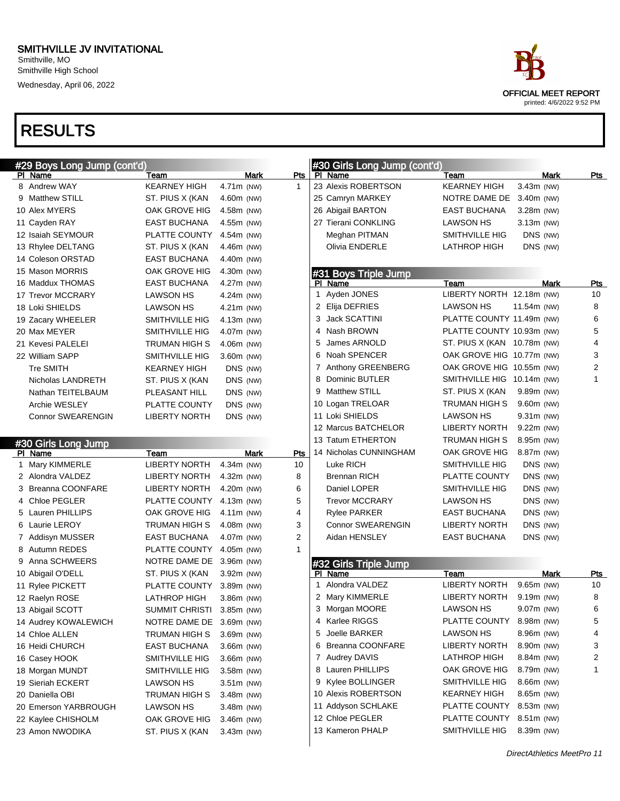| ace                         |
|-----------------------------|
| <b>OFFICIAL MEET REPORT</b> |
| printed: 4/6/2022 9:52 PM   |

| #29 Boys Long Jump (cont'd)           |                                  |                            |                | #30 Girls Long Jump (cont'd)        |                                 |                            |              |
|---------------------------------------|----------------------------------|----------------------------|----------------|-------------------------------------|---------------------------------|----------------------------|--------------|
| PI Name<br>8 Andrew WAY               | Team                             | Mark                       | Pts            | PI Name<br>23 Alexis ROBERTSON      | Team                            | Mark<br>3.43m (NW)         | Pts          |
|                                       | <b>KEARNEY HIGH</b>              | 4.71m (NW)                 | 1              |                                     | <b>KEARNEY HIGH</b>             |                            |              |
| 9 Matthew STILL                       | ST. PIUS X (KAN                  | 4.60m (NW)                 |                | 25 Camryn MARKEY                    | NOTRE DAME DE                   | $3.40m$ (NW)               |              |
| 10 Alex MYERS                         | OAK GROVE HIG                    | 4.58m (NW)                 |                | 26 Abigail BARTON                   | <b>EAST BUCHANA</b>             | $3.28m$ (NW)               |              |
| 11 Cayden RAY                         | <b>EAST BUCHANA</b>              | 4.55m (NW)                 |                | 27 Tierani CONKLING                 | <b>LAWSON HS</b>                | $3.13m$ (NW)               |              |
| 12 Isaiah SEYMOUR                     | PLATTE COUNTY                    | 4.54m (NW)                 |                | Meghan PITMAN                       | SMITHVILLE HIG                  | DNS (NW)                   |              |
| 13 Rhylee DELTANG                     | ST. PIUS X (KAN                  | 4.46m (NW)                 |                | Olivia ENDERLE                      | <b>LATHROP HIGH</b>             | DNS (NW)                   |              |
| 14 Coleson ORSTAD                     | <b>EAST BUCHANA</b>              | 4.40m (NW)                 |                |                                     |                                 |                            |              |
| 15 Mason MORRIS                       | OAK GROVE HIG                    | 4.30m (NW)                 |                | #31 Boys Triple Jump                |                                 |                            |              |
| 16 Maddux THOMAS                      | <b>EAST BUCHANA</b>              | 4.27m (NW)                 |                | PI Name                             | Team                            | Mark                       | <u>Pts</u>   |
| 17 Trevor MCCRARY                     | <b>LAWSON HS</b>                 | 4.24m (NW)                 |                | Ayden JONES<br>1                    | LIBERTY NORTH 12.18m (NW)       |                            | 10           |
| 18 Loki SHIELDS                       | <b>LAWSON HS</b>                 | 4.21m (NW)                 |                | 2 Elija DEFRIES                     | <b>LAWSON HS</b>                | 11.54m (NW)                | 8            |
| 19 Zacary WHEELER                     | SMITHVILLE HIG                   | 4.13m (NW)                 | 3              | <b>Jack SCATTINI</b>                | PLATTE COUNTY 11.49m (NW)       |                            | 6            |
| 20 Max MEYER                          | SMITHVILLE HIG                   | 4.07m (NW)                 |                | Nash BROWN<br>4                     | PLATTE COUNTY 10.93m (NW)       |                            | 5            |
| 21 Kevesi PALELEI                     | TRUMAN HIGH S                    | 4.06m (NW)                 | 5              | James ARNOLD                        | ST. PIUS X (KAN 10.78m (NW)     |                            | 4            |
| 22 William SAPP                       | <b>SMITHVILLE HIG</b>            | 3.60m (NW)                 |                | Noah SPENCER<br>6                   | OAK GROVE HIG 10.77m (NW)       |                            | 3            |
| <b>Tre SMITH</b>                      | <b>KEARNEY HIGH</b>              | DNS (NW)                   |                | <b>Anthony GREENBERG</b><br>7       | OAK GROVE HIG 10.55m (NW)       |                            | 2            |
| Nicholas LANDRETH                     | ST. PIUS X (KAN                  | DNS (NW)                   | 8              | Dominic BUTLER                      | SMITHVILLE HIG 10.14m (NW)      |                            | $\mathbf{1}$ |
| Nathan TEITELBAUM                     | PLEASANT HILL                    | DNS (NW)                   |                | <b>Matthew STILL</b><br>9           | ST. PIUS X (KAN                 | 9.89m (NW)                 |              |
| <b>Archie WESLEY</b>                  | PLATTE COUNTY                    | DNS (NW)                   |                | 10 Logan TRELOAR                    | TRUMAN HIGH S                   | 9.60m (NW)                 |              |
| <b>Connor SWEARENGIN</b>              | <b>LIBERTY NORTH</b>             | DNS (NW)                   |                | 11 Loki SHIELDS                     | <b>LAWSON HS</b>                | $9.31m$ (NW)               |              |
|                                       |                                  |                            |                | 12 Marcus BATCHELOR                 | <b>LIBERTY NORTH</b>            | $9.22m$ (NW)               |              |
| #30 Girls Long Jump                   |                                  |                            |                | 13 Tatum ETHERTON                   | TRUMAN HIGH S                   | 8.95m (NW)                 |              |
| PI Name                               | Team                             | Mark                       | Pts            | 14 Nicholas CUNNINGHAM              | OAK GROVE HIG                   | 8.87m (NW)                 |              |
| 1 Mary KIMMERLE                       | <b>LIBERTY NORTH</b>             | 4.34m (NW)                 | 10             | Luke RICH                           | SMITHVILLE HIG                  | DNS (NW)                   |              |
| 2 Alondra VALDEZ                      | <b>LIBERTY NORTH</b>             | $4.32m$ (NW)               | 8              | <b>Brennan RICH</b>                 | PLATTE COUNTY                   | DNS (NW)                   |              |
| 3 Breanna COONFARE                    | <b>LIBERTY NORTH</b>             | 4.20m (NW)                 | 6              | Daniel LOPER                        | SMITHVILLE HIG                  | DNS (NW)                   |              |
| 4 Chloe PEGLER                        | PLATTE COUNTY                    | 4.13m (NW)                 | 5              | <b>Trevor MCCRARY</b>               | <b>LAWSON HS</b>                | DNS (NW)                   |              |
| 5 Lauren PHILLIPS                     | OAK GROVE HIG                    | $4.11m$ (NW)               | 4              | <b>Rylee PARKER</b>                 | <b>EAST BUCHANA</b>             | DNS (NW)                   |              |
| 6 Laurie LEROY                        | TRUMAN HIGH S                    | 4.08m (NW)                 | 3              | <b>Connor SWEARENGIN</b>            | <b>LIBERTY NORTH</b>            | DNS (NW)                   |              |
| 7 Addisyn MUSSER                      | <b>EAST BUCHANA</b>              | 4.07m (NW)                 | $\overline{2}$ | Aidan HENSLEY                       | <b>EAST BUCHANA</b>             | DNS (NW)                   |              |
| 8 Autumn REDES                        | PLATTE COUNTY                    | 4.05m (NW)                 | 1              |                                     |                                 |                            |              |
| 9 Anna SCHWEERS                       | NOTRE DAME DE 3.96m (NW)         |                            |                |                                     |                                 |                            |              |
| 10 Abigail O'DELL                     | ST. PIUS X (KAN                  | 3.92m (NW)                 |                | #32 Girls Triple Jump<br>PI Name    | Team                            | Mark                       | <u>Pts</u>   |
| 11 Rylee PICKETT                      | PLATTE COUNTY                    | 3.89m (NW)                 |                | Alondra VALDEZ<br>$\mathbf{1}$      | <b>LIBERTY NORTH</b>            | 9.65m (NW)                 | 10           |
| 12 Raelyn ROSE                        | <b>LATHROP HIGH</b>              | 3.86m (NW)                 |                | 2 Mary KIMMERLE                     | <b>LIBERTY NORTH</b>            | 9.19m (NW)                 | 8            |
| 13 Abigail SCOTT                      | SUMMIT CHRISTI 3.85m (NW)        |                            |                | 3 Morgan MOORE                      | <b>LAWSON HS</b>                | 9.07m (NW)                 | 6            |
|                                       |                                  |                            |                | 4 Karlee RIGGS                      | PLATTE COUNTY                   | 8.98m (NW)                 | 5            |
| 14 Audrey KOWALEWICH                  | NOTRE DAME DE 3.69m (NW)         |                            | 5              | Joelle BARKER                       | <b>LAWSON HS</b>                | 8.96m (NW)                 | 4            |
| 14 Chloe ALLEN                        | TRUMAN HIGH S                    | $3.69m$ (NW)               |                | <b>Breanna COONFARE</b>             | <b>LIBERTY NORTH</b>            |                            | 3            |
| 16 Heidi CHURCH                       | EAST BUCHANA                     | $3.66m$ (NW)               |                | 6                                   |                                 | 8.90m (NW)                 |              |
| 16 Casey HOOK                         | <b>SMITHVILLE HIG</b>            | 3.66m (NW)                 |                | 7 Audrey DAVIS                      | <b>LATHROP HIGH</b>             | $8.84m$ (NW)               | 2            |
| 18 Morgan MUNDT                       | SMITHVILLE HIG                   | $3.58m$ (NW)               |                | 8 Lauren PHILLIPS                   | OAK GROVE HIG                   | 8.79m (NW)                 | 1            |
| 19 Sieriah ECKERT                     | <b>LAWSON HS</b>                 | $3.51m$ (NW)               |                | Kylee BOLLINGER<br>9                | SMITHVILLE HIG                  | 8.66m (NW)                 |              |
| 20 Daniella OBI                       |                                  |                            |                |                                     |                                 |                            |              |
|                                       | TRUMAN HIGH S                    | $3.48m$ (NW)               |                | 10 Alexis ROBERTSON                 | <b>KEARNEY HIGH</b>             | $8.65m$ (NW)               |              |
| 20 Emerson YARBROUGH                  | <b>LAWSON HS</b>                 | 3.48m (NW)                 |                | 11 Addyson SCHLAKE                  | PLATTE COUNTY                   | $8.53m$ (NW)               |              |
| 22 Kaylee CHISHOLM<br>23 Amon NWODIKA | OAK GROVE HIG<br>ST. PIUS X (KAN | $3.46m$ (NW)<br>3.43m (NW) |                | 12 Chloe PEGLER<br>13 Kameron PHALP | PLATTE COUNTY<br>SMITHVILLE HIG | $8.51m$ (NW)<br>8.39m (NW) |              |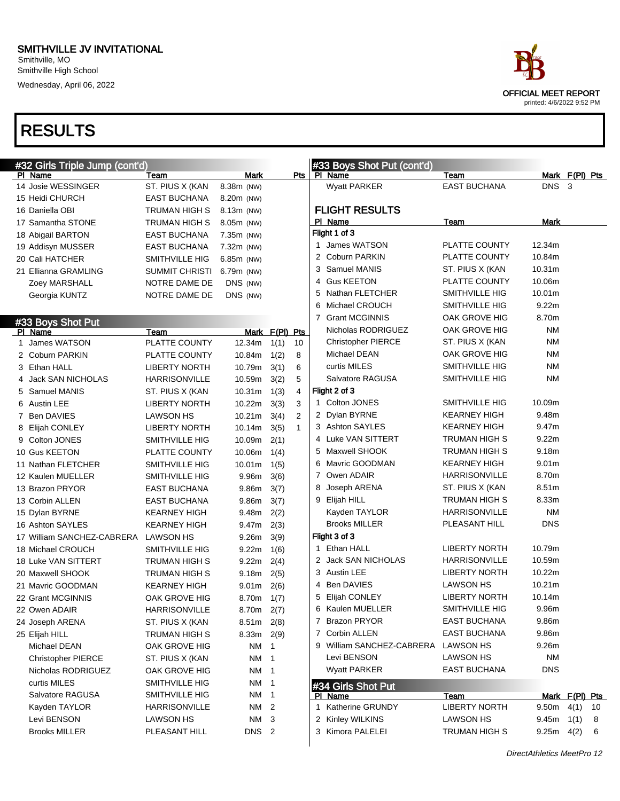#### SMITHVILLE JV INVITATIONAL Smithville, MO

Smithville High School Wednesday, April 06, 2022

| race                                                     |
|----------------------------------------------------------|
| <b>OFFICIAL MEET REPORT</b><br>printed: 4/6/2022 9:52 PM |

| #33 Boys Shot Put (cont'd)<br>#32 Girls Triple Jump (cont'd)<br>Team<br>Mark<br>Pts<br>PI Name<br>Team<br>Mark $F(PI)$ Pts<br>PI Name<br>14 Josie WESSINGER<br><b>EAST BUCHANA</b><br>DNS <sub>3</sub><br>ST. PIUS X (KAN<br>8.38m (NW)<br>Wyatt PARKER<br>15 Heidi CHURCH<br><b>EAST BUCHANA</b><br>8.20m (NW)<br><b>FLIGHT RESULTS</b><br>16 Daniella OBI<br>TRUMAN HIGH S<br>8.13m (NW)<br>PI Name<br>Mark<br>Team<br>17 Samantha STONE<br>TRUMAN HIGH S<br>8.05m (NW)<br>Flight 1 of 3<br>18 Abigail BARTON<br><b>EAST BUCHANA</b><br>7.35m (NW)<br>1 James WATSON<br>PLATTE COUNTY<br>12.34m<br><b>EAST BUCHANA</b><br>7.32m (NW)<br>19 Addisyn MUSSER<br>2 Coburn PARKIN<br><b>PLATTE COUNTY</b><br>10.84m<br>20 Cali HATCHER<br>SMITHVILLE HIG<br>6.85m (NW)<br>Samuel MANIS<br>10.31m<br>3<br>ST. PIUS X (KAN<br>21 Ellianna GRAMLING<br><b>SUMMIT CHRISTI</b><br>6.79m (NW)<br><b>Gus KEETON</b><br>PLATTE COUNTY<br>10.06m<br>4<br>Zoey MARSHALL<br>NOTRE DAME DE<br>DNS (NW)<br>Nathan FLETCHER<br>SMITHVILLE HIG<br>10.01m<br>5<br>NOTRE DAME DE<br>DNS (NW)<br>Georgia KUNTZ<br>Michael CROUCH<br>SMITHVILLE HIG<br>9.22m<br>6<br><b>Grant MCGINNIS</b><br>OAK GROVE HIG<br>8.70m<br>7<br>#33 Boys Shot Put<br>Nicholas RODRIGUEZ<br>OAK GROVE HIG<br>ΝM<br>Mark F(PI) Pts<br>PI Name<br>Team<br>ST. PIUS X (KAN<br>NM<br><b>Christopher PIERCE</b><br>PLATTE COUNTY<br>James WATSON<br>12.34m<br>1(1)<br>10<br>1<br>Michael DEAN<br>OAK GROVE HIG<br>ΝM<br>2 Coburn PARKIN<br>PLATTE COUNTY<br>10.84m<br>1(2)<br>8<br>curtis MILES<br><b>SMITHVILLE HIG</b><br>NM<br>3 Ethan HALL<br><b>LIBERTY NORTH</b><br>10.79m<br>3(1)<br>6 |    |
|------------------------------------------------------------------------------------------------------------------------------------------------------------------------------------------------------------------------------------------------------------------------------------------------------------------------------------------------------------------------------------------------------------------------------------------------------------------------------------------------------------------------------------------------------------------------------------------------------------------------------------------------------------------------------------------------------------------------------------------------------------------------------------------------------------------------------------------------------------------------------------------------------------------------------------------------------------------------------------------------------------------------------------------------------------------------------------------------------------------------------------------------------------------------------------------------------------------------------------------------------------------------------------------------------------------------------------------------------------------------------------------------------------------------------------------------------------------------------------------------------------------------------------------------------------------------------------------------------------------------------------------------|----|
|                                                                                                                                                                                                                                                                                                                                                                                                                                                                                                                                                                                                                                                                                                                                                                                                                                                                                                                                                                                                                                                                                                                                                                                                                                                                                                                                                                                                                                                                                                                                                                                                                                                |    |
|                                                                                                                                                                                                                                                                                                                                                                                                                                                                                                                                                                                                                                                                                                                                                                                                                                                                                                                                                                                                                                                                                                                                                                                                                                                                                                                                                                                                                                                                                                                                                                                                                                                |    |
|                                                                                                                                                                                                                                                                                                                                                                                                                                                                                                                                                                                                                                                                                                                                                                                                                                                                                                                                                                                                                                                                                                                                                                                                                                                                                                                                                                                                                                                                                                                                                                                                                                                |    |
|                                                                                                                                                                                                                                                                                                                                                                                                                                                                                                                                                                                                                                                                                                                                                                                                                                                                                                                                                                                                                                                                                                                                                                                                                                                                                                                                                                                                                                                                                                                                                                                                                                                |    |
|                                                                                                                                                                                                                                                                                                                                                                                                                                                                                                                                                                                                                                                                                                                                                                                                                                                                                                                                                                                                                                                                                                                                                                                                                                                                                                                                                                                                                                                                                                                                                                                                                                                |    |
|                                                                                                                                                                                                                                                                                                                                                                                                                                                                                                                                                                                                                                                                                                                                                                                                                                                                                                                                                                                                                                                                                                                                                                                                                                                                                                                                                                                                                                                                                                                                                                                                                                                |    |
|                                                                                                                                                                                                                                                                                                                                                                                                                                                                                                                                                                                                                                                                                                                                                                                                                                                                                                                                                                                                                                                                                                                                                                                                                                                                                                                                                                                                                                                                                                                                                                                                                                                |    |
|                                                                                                                                                                                                                                                                                                                                                                                                                                                                                                                                                                                                                                                                                                                                                                                                                                                                                                                                                                                                                                                                                                                                                                                                                                                                                                                                                                                                                                                                                                                                                                                                                                                |    |
|                                                                                                                                                                                                                                                                                                                                                                                                                                                                                                                                                                                                                                                                                                                                                                                                                                                                                                                                                                                                                                                                                                                                                                                                                                                                                                                                                                                                                                                                                                                                                                                                                                                |    |
|                                                                                                                                                                                                                                                                                                                                                                                                                                                                                                                                                                                                                                                                                                                                                                                                                                                                                                                                                                                                                                                                                                                                                                                                                                                                                                                                                                                                                                                                                                                                                                                                                                                |    |
|                                                                                                                                                                                                                                                                                                                                                                                                                                                                                                                                                                                                                                                                                                                                                                                                                                                                                                                                                                                                                                                                                                                                                                                                                                                                                                                                                                                                                                                                                                                                                                                                                                                |    |
|                                                                                                                                                                                                                                                                                                                                                                                                                                                                                                                                                                                                                                                                                                                                                                                                                                                                                                                                                                                                                                                                                                                                                                                                                                                                                                                                                                                                                                                                                                                                                                                                                                                |    |
|                                                                                                                                                                                                                                                                                                                                                                                                                                                                                                                                                                                                                                                                                                                                                                                                                                                                                                                                                                                                                                                                                                                                                                                                                                                                                                                                                                                                                                                                                                                                                                                                                                                |    |
|                                                                                                                                                                                                                                                                                                                                                                                                                                                                                                                                                                                                                                                                                                                                                                                                                                                                                                                                                                                                                                                                                                                                                                                                                                                                                                                                                                                                                                                                                                                                                                                                                                                |    |
|                                                                                                                                                                                                                                                                                                                                                                                                                                                                                                                                                                                                                                                                                                                                                                                                                                                                                                                                                                                                                                                                                                                                                                                                                                                                                                                                                                                                                                                                                                                                                                                                                                                |    |
|                                                                                                                                                                                                                                                                                                                                                                                                                                                                                                                                                                                                                                                                                                                                                                                                                                                                                                                                                                                                                                                                                                                                                                                                                                                                                                                                                                                                                                                                                                                                                                                                                                                |    |
|                                                                                                                                                                                                                                                                                                                                                                                                                                                                                                                                                                                                                                                                                                                                                                                                                                                                                                                                                                                                                                                                                                                                                                                                                                                                                                                                                                                                                                                                                                                                                                                                                                                |    |
| Salvatore RAGUSA<br><b>SMITHVILLE HIG</b><br><b>NM</b><br><b>Jack SAN NICHOLAS</b><br><b>HARRISONVILLE</b><br>10.59m<br>5<br>3(2)<br>4                                                                                                                                                                                                                                                                                                                                                                                                                                                                                                                                                                                                                                                                                                                                                                                                                                                                                                                                                                                                                                                                                                                                                                                                                                                                                                                                                                                                                                                                                                         |    |
| Flight 2 of 3<br>Samuel MANIS<br>10.31m<br>1(3)<br>ST. PIUS X (KAN<br>4<br>5                                                                                                                                                                                                                                                                                                                                                                                                                                                                                                                                                                                                                                                                                                                                                                                                                                                                                                                                                                                                                                                                                                                                                                                                                                                                                                                                                                                                                                                                                                                                                                   |    |
| 1 Colton JONES<br><b>SMITHVILLE HIG</b><br>10.09m<br>3<br>6 Austin LEE<br><b>LIBERTY NORTH</b><br>10.22m<br>3(3)                                                                                                                                                                                                                                                                                                                                                                                                                                                                                                                                                                                                                                                                                                                                                                                                                                                                                                                                                                                                                                                                                                                                                                                                                                                                                                                                                                                                                                                                                                                               |    |
| 2 Dylan BYRNE<br><b>KEARNEY HIGH</b><br>9.48m<br>2<br>7 Ben DAVIES<br><b>LAWSON HS</b><br>10.21m<br>3(4)                                                                                                                                                                                                                                                                                                                                                                                                                                                                                                                                                                                                                                                                                                                                                                                                                                                                                                                                                                                                                                                                                                                                                                                                                                                                                                                                                                                                                                                                                                                                       |    |
| 3 Ashton SAYLES<br><b>KEARNEY HIGH</b><br>9.47m<br><b>LIBERTY NORTH</b><br>10.14m<br>3(5)<br>$\mathbf{1}$<br>8 Elijah CONLEY                                                                                                                                                                                                                                                                                                                                                                                                                                                                                                                                                                                                                                                                                                                                                                                                                                                                                                                                                                                                                                                                                                                                                                                                                                                                                                                                                                                                                                                                                                                   |    |
| 4 Luke VAN SITTERT<br><b>TRUMAN HIGH S</b><br>9.22m<br>Colton JONES<br><b>SMITHVILLE HIG</b><br>10.09m<br>2(1)<br>9                                                                                                                                                                                                                                                                                                                                                                                                                                                                                                                                                                                                                                                                                                                                                                                                                                                                                                                                                                                                                                                                                                                                                                                                                                                                                                                                                                                                                                                                                                                            |    |
| Maxwell SHOOK<br><b>TRUMAN HIGH S</b><br>9.18m<br>5<br>10 Gus KEETON<br>PLATTE COUNTY<br>10.06m<br>1(4)                                                                                                                                                                                                                                                                                                                                                                                                                                                                                                                                                                                                                                                                                                                                                                                                                                                                                                                                                                                                                                                                                                                                                                                                                                                                                                                                                                                                                                                                                                                                        |    |
| Mavric GOODMAN<br><b>KEARNEY HIGH</b><br>9.01 <sub>m</sub><br>6<br>11 Nathan FLETCHER<br><b>SMITHVILLE HIG</b><br>10.01m<br>1(5)                                                                                                                                                                                                                                                                                                                                                                                                                                                                                                                                                                                                                                                                                                                                                                                                                                                                                                                                                                                                                                                                                                                                                                                                                                                                                                                                                                                                                                                                                                               |    |
| 7 Owen ADAIR<br>HARRISONVILLE<br>8.70m<br>12 Kaulen MUELLER<br><b>SMITHVILLE HIG</b><br>9.96m<br>3(6)                                                                                                                                                                                                                                                                                                                                                                                                                                                                                                                                                                                                                                                                                                                                                                                                                                                                                                                                                                                                                                                                                                                                                                                                                                                                                                                                                                                                                                                                                                                                          |    |
| 8.51m<br>Joseph ARENA<br>ST. PIUS X (KAN<br>13 Brazon PRYOR<br>8<br><b>EAST BUCHANA</b><br>9.86m<br>3(7)                                                                                                                                                                                                                                                                                                                                                                                                                                                                                                                                                                                                                                                                                                                                                                                                                                                                                                                                                                                                                                                                                                                                                                                                                                                                                                                                                                                                                                                                                                                                       |    |
| <b>TRUMAN HIGH S</b><br>8.33m<br>Elijah HILL<br>9<br>13 Corbin ALLEN<br><b>EAST BUCHANA</b><br>9.86m<br>3(7)                                                                                                                                                                                                                                                                                                                                                                                                                                                                                                                                                                                                                                                                                                                                                                                                                                                                                                                                                                                                                                                                                                                                                                                                                                                                                                                                                                                                                                                                                                                                   |    |
| Kayden TAYLOR<br>HARRISONVILLE<br>ΝM<br><b>KEARNEY HIGH</b><br>9.48m<br>15 Dylan BYRNE<br>2(2)                                                                                                                                                                                                                                                                                                                                                                                                                                                                                                                                                                                                                                                                                                                                                                                                                                                                                                                                                                                                                                                                                                                                                                                                                                                                                                                                                                                                                                                                                                                                                 |    |
| <b>Brooks MILLER</b><br>PLEASANT HILL<br><b>DNS</b><br>16 Ashton SAYLES<br><b>KEARNEY HIGH</b><br>9.47m<br>2(3)                                                                                                                                                                                                                                                                                                                                                                                                                                                                                                                                                                                                                                                                                                                                                                                                                                                                                                                                                                                                                                                                                                                                                                                                                                                                                                                                                                                                                                                                                                                                |    |
| Flight 3 of 3<br>17 William SANCHEZ-CABRERA<br><b>LAWSON HS</b><br>9.26 <sub>m</sub><br>3(9)                                                                                                                                                                                                                                                                                                                                                                                                                                                                                                                                                                                                                                                                                                                                                                                                                                                                                                                                                                                                                                                                                                                                                                                                                                                                                                                                                                                                                                                                                                                                                   |    |
| Ethan HALL<br><b>LIBERTY NORTH</b><br>10.79m<br>1.<br>18 Michael CROUCH<br><b>SMITHVILLE HIG</b><br>9.22m<br>1(6)                                                                                                                                                                                                                                                                                                                                                                                                                                                                                                                                                                                                                                                                                                                                                                                                                                                                                                                                                                                                                                                                                                                                                                                                                                                                                                                                                                                                                                                                                                                              |    |
| 2 Jack SAN NICHOLAS<br>HARRISONVILLE<br>10.59m<br>18 Luke VAN SITTERT<br>9.22m<br>TRUMAN HIGH S<br>2(4)                                                                                                                                                                                                                                                                                                                                                                                                                                                                                                                                                                                                                                                                                                                                                                                                                                                                                                                                                                                                                                                                                                                                                                                                                                                                                                                                                                                                                                                                                                                                        |    |
| 3 Austin LEE<br><b>LIBERTY NORTH</b><br>10.22m<br>20 Maxwell SHOOK<br>TRUMAN HIGH S<br>9.18m<br>2(5)                                                                                                                                                                                                                                                                                                                                                                                                                                                                                                                                                                                                                                                                                                                                                                                                                                                                                                                                                                                                                                                                                                                                                                                                                                                                                                                                                                                                                                                                                                                                           |    |
| <b>Ben DAVIES</b><br><b>LAWSON HS</b><br>10.21m<br>4<br>21 Mavric GOODMAN<br><b>KEARNEY HIGH</b><br>2(6)<br>9.01 <sub>m</sub>                                                                                                                                                                                                                                                                                                                                                                                                                                                                                                                                                                                                                                                                                                                                                                                                                                                                                                                                                                                                                                                                                                                                                                                                                                                                                                                                                                                                                                                                                                                  |    |
| Elijah CONLEY<br><b>LIBERTY NORTH</b><br>10.14m<br>5<br>22 Grant MCGINNIS<br>OAK GROVE HIG<br>1(7)<br>8.70m                                                                                                                                                                                                                                                                                                                                                                                                                                                                                                                                                                                                                                                                                                                                                                                                                                                                                                                                                                                                                                                                                                                                                                                                                                                                                                                                                                                                                                                                                                                                    |    |
| SMITHVILLE HIG<br>9.96m<br>6 Kaulen MUELLER<br>22 Owen ADAIR<br>HARRISONVILLE<br>$8.70m$ 2(7)                                                                                                                                                                                                                                                                                                                                                                                                                                                                                                                                                                                                                                                                                                                                                                                                                                                                                                                                                                                                                                                                                                                                                                                                                                                                                                                                                                                                                                                                                                                                                  |    |
| 7 Brazon PRYOR<br><b>EAST BUCHANA</b><br>9.86m<br>24 Joseph ARENA<br>ST. PIUS X (KAN<br>$8.51m$ 2(8)                                                                                                                                                                                                                                                                                                                                                                                                                                                                                                                                                                                                                                                                                                                                                                                                                                                                                                                                                                                                                                                                                                                                                                                                                                                                                                                                                                                                                                                                                                                                           |    |
| 7 Corbin ALLEN<br><b>EAST BUCHANA</b><br>9.86m<br>$8.33m$ 2(9)<br>25 Elijah HILL<br>TRUMAN HIGH S                                                                                                                                                                                                                                                                                                                                                                                                                                                                                                                                                                                                                                                                                                                                                                                                                                                                                                                                                                                                                                                                                                                                                                                                                                                                                                                                                                                                                                                                                                                                              |    |
| 9 William SANCHEZ-CABRERA<br><b>LAWSON HS</b><br>9.26 <sub>m</sub><br>OAK GROVE HIG<br>NM 1<br>Michael DEAN                                                                                                                                                                                                                                                                                                                                                                                                                                                                                                                                                                                                                                                                                                                                                                                                                                                                                                                                                                                                                                                                                                                                                                                                                                                                                                                                                                                                                                                                                                                                    |    |
| <b>LAWSON HS</b><br><b>NM</b><br>Levi BENSON<br>ST. PIUS X (KAN<br><b>Christopher PIERCE</b><br>NM 1                                                                                                                                                                                                                                                                                                                                                                                                                                                                                                                                                                                                                                                                                                                                                                                                                                                                                                                                                                                                                                                                                                                                                                                                                                                                                                                                                                                                                                                                                                                                           |    |
| <b>Wyatt PARKER</b><br><b>DNS</b><br><b>EAST BUCHANA</b><br>OAK GROVE HIG<br>NM 1<br>Nicholas RODRIGUEZ                                                                                                                                                                                                                                                                                                                                                                                                                                                                                                                                                                                                                                                                                                                                                                                                                                                                                                                                                                                                                                                                                                                                                                                                                                                                                                                                                                                                                                                                                                                                        |    |
| curtis MILES<br>SMITHVILLE HIG<br>NM 1                                                                                                                                                                                                                                                                                                                                                                                                                                                                                                                                                                                                                                                                                                                                                                                                                                                                                                                                                                                                                                                                                                                                                                                                                                                                                                                                                                                                                                                                                                                                                                                                         |    |
| #34 Girls Shot Put<br>SMITHVILLE HIG<br>NM 1<br>Salvatore RAGUSA<br>PI Name<br>Mark F(PI) Pts<br>Team                                                                                                                                                                                                                                                                                                                                                                                                                                                                                                                                                                                                                                                                                                                                                                                                                                                                                                                                                                                                                                                                                                                                                                                                                                                                                                                                                                                                                                                                                                                                          |    |
| Katherine GRUNDY<br><b>LIBERTY NORTH</b><br>Kayden TAYLOR<br><b>HARRISONVILLE</b><br>NM 2<br>$9.50m \quad 4(1)$<br>1                                                                                                                                                                                                                                                                                                                                                                                                                                                                                                                                                                                                                                                                                                                                                                                                                                                                                                                                                                                                                                                                                                                                                                                                                                                                                                                                                                                                                                                                                                                           | 10 |
| <b>LAWSON HS</b><br>Levi BENSON<br>LAWSON HS<br>NM 3<br>2 Kinley WILKINS<br>$9.45m$ 1(1)                                                                                                                                                                                                                                                                                                                                                                                                                                                                                                                                                                                                                                                                                                                                                                                                                                                                                                                                                                                                                                                                                                                                                                                                                                                                                                                                                                                                                                                                                                                                                       | 8  |
| <b>Brooks MILLER</b><br>PLEASANT HILL<br>3 Kimora PALELEI<br>TRUMAN HIGH S<br>DNS 2<br>$9.25m$ 4(2)                                                                                                                                                                                                                                                                                                                                                                                                                                                                                                                                                                                                                                                                                                                                                                                                                                                                                                                                                                                                                                                                                                                                                                                                                                                                                                                                                                                                                                                                                                                                            | -6 |
|                                                                                                                                                                                                                                                                                                                                                                                                                                                                                                                                                                                                                                                                                                                                                                                                                                                                                                                                                                                                                                                                                                                                                                                                                                                                                                                                                                                                                                                                                                                                                                                                                                                |    |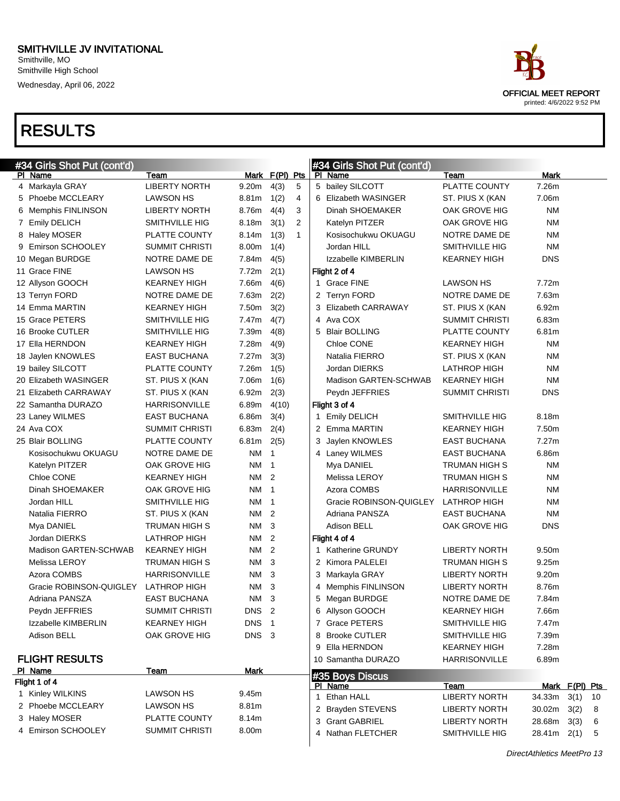#### SMITHVILLE JV INVITATIONAL Smithville, MO Smithville High School

Wednesday, April 06, 2022

| ace                       |
|---------------------------|
| OFFICIAL MEET REPORT      |
| printed: 4/6/2022 9:52 PM |

| #34 Girls Shot Put (cont'd) |                       |                   |                |              | #34 Girls Shot Put (cont'd) |                       |                 |     |
|-----------------------------|-----------------------|-------------------|----------------|--------------|-----------------------------|-----------------------|-----------------|-----|
| PI Name                     | Team                  |                   | Mark F(PI) Pts |              | PI Name                     | Team                  | Mark            |     |
| 4 Markayla GRAY             | <b>LIBERTY NORTH</b>  | 9.20 <sub>m</sub> | 4(3)           | 5            | 5 bailey SILCOTT            | PLATTE COUNTY         | 7.26m           |     |
| 5 Phoebe MCCLEARY           | <b>LAWSON HS</b>      | 8.81m             | 1(2)           | 4            | 6 Elizabeth WASINGER        | ST. PIUS X (KAN       | 7.06m           |     |
| 6 Memphis FINLINSON         | <b>LIBERTY NORTH</b>  | 8.76m             | 4(4)           | 3            | Dinah SHOEMAKER             | OAK GROVE HIG         | <b>NM</b>       |     |
| 7 Emily DELICH              | <b>SMITHVILLE HIG</b> | 8.18m             | 3(1)           | 2            | Katelyn PITZER              | OAK GROVE HIG         | <b>NM</b>       |     |
| 8 Haley MOSER               | PLATTE COUNTY         | 8.14m             | 1(3)           | $\mathbf{1}$ | Kosisochukwu OKUAGU         | NOTRE DAME DE         | <b>NM</b>       |     |
| 9 Emirson SCHOOLEY          | <b>SUMMIT CHRISTI</b> | 8.00m             | 1(4)           |              | Jordan HILL                 | <b>SMITHVILLE HIG</b> | <b>NM</b>       |     |
| 10 Megan BURDGE             | NOTRE DAME DE         | 7.84m             | 4(5)           |              | Izzabelle KIMBERLIN         | <b>KEARNEY HIGH</b>   | <b>DNS</b>      |     |
| 11 Grace FINE               | <b>LAWSON HS</b>      | 7.72m             | 2(1)           |              | Flight 2 of 4               |                       |                 |     |
| 12 Allyson GOOCH            | <b>KEARNEY HIGH</b>   | 7.66m             | 4(6)           |              | 1 Grace FINE                | <b>LAWSON HS</b>      | 7.72m           |     |
| 13 Terryn FORD              | NOTRE DAME DE         | 7.63m             | 2(2)           |              | 2 Terryn FORD               | NOTRE DAME DE         | 7.63m           |     |
| 14 Emma MARTIN              | <b>KEARNEY HIGH</b>   | 7.50m             | 3(2)           |              | 3 Elizabeth CARRAWAY        | ST. PIUS X (KAN       | 6.92m           |     |
| 15 Grace PETERS             | SMITHVILLE HIG        | 7.47m             | 4(7)           |              | 4 Ava COX                   | <b>SUMMIT CHRISTI</b> | 6.83m           |     |
| 16 Brooke CUTLER            | SMITHVILLE HIG        | 7.39m             | 4(8)           |              | 5 Blair BOLLING             | PLATTE COUNTY         | 6.81m           |     |
| 17 Ella HERNDON             | <b>KEARNEY HIGH</b>   | 7.28m             | 4(9)           |              | Chloe CONE                  | <b>KEARNEY HIGH</b>   | <b>NM</b>       |     |
| 18 Jaylen KNOWLES           | <b>EAST BUCHANA</b>   | 7.27m             | 3(3)           |              | Natalia FIERRO              | ST. PIUS X (KAN       | <b>NM</b>       |     |
| 19 bailey SILCOTT           | <b>PLATTE COUNTY</b>  | 7.26m             | 1(5)           |              | Jordan DIERKS               | <b>LATHROP HIGH</b>   | <b>NM</b>       |     |
| 20 Elizabeth WASINGER       | ST. PIUS X (KAN       | 7.06m             | 1(6)           |              | Madison GARTEN-SCHWAB       | <b>KEARNEY HIGH</b>   | <b>NM</b>       |     |
| 21 Elizabeth CARRAWAY       | ST. PIUS X (KAN       | 6.92m             | 2(3)           |              | Peydn JEFFRIES              | <b>SUMMIT CHRISTI</b> | <b>DNS</b>      |     |
| 22 Samantha DURAZO          | <b>HARRISONVILLE</b>  | 6.89m             | 4(10)          |              | Flight 3 of 4               |                       |                 |     |
| 23 Laney WILMES             | <b>EAST BUCHANA</b>   | 6.86m             | 3(4)           |              | 1 Emily DELICH              | SMITHVILLE HIG        | 8.18m           |     |
| 24 Ava COX                  | <b>SUMMIT CHRISTI</b> | 6.83m             | 2(4)           |              | 2 Emma MARTIN               | <b>KEARNEY HIGH</b>   | 7.50m           |     |
| 25 Blair BOLLING            | PLATTE COUNTY         | 6.81m             | 2(5)           |              | 3 Jaylen KNOWLES            | <b>EAST BUCHANA</b>   | 7.27m           |     |
| Kosisochukwu OKUAGU         | NOTRE DAME DE         | NM.               | $\overline{1}$ |              | 4 Laney WILMES              | <b>EAST BUCHANA</b>   | 6.86m           |     |
| Katelyn PITZER              | OAK GROVE HIG         | NM                | $\overline{1}$ |              | Mya DANIEL                  | <b>TRUMAN HIGH S</b>  | <b>NM</b>       |     |
| Chloe CONE                  | <b>KEARNEY HIGH</b>   | NM.               | $\overline{2}$ |              | Melissa LEROY               | <b>TRUMAN HIGH S</b>  | <b>NM</b>       |     |
| Dinah SHOEMAKER             | OAK GROVE HIG         | NM.               | $\overline{1}$ |              | Azora COMBS                 | <b>HARRISONVILLE</b>  | <b>NM</b>       |     |
| Jordan HILL                 | SMITHVILLE HIG        | NM                | $\overline{1}$ |              | Gracie ROBINSON-QUIGLEY     | <b>LATHROP HIGH</b>   | <b>NM</b>       |     |
| Natalia FIERRO              | ST. PIUS X (KAN       | NM                | $\overline{2}$ |              | Adriana PANSZA              | <b>EAST BUCHANA</b>   | <b>NM</b>       |     |
| Mya DANIEL                  | <b>TRUMAN HIGH S</b>  | NM.               | 3              |              | Adison BELL                 | OAK GROVE HIG         | <b>DNS</b>      |     |
| Jordan DIERKS               | <b>LATHROP HIGH</b>   | NM.               | $\overline{2}$ |              | Flight 4 of 4               |                       |                 |     |
| Madison GARTEN-SCHWAB       | <b>KEARNEY HIGH</b>   | NM.               | $\overline{2}$ |              | 1 Katherine GRUNDY          | <b>LIBERTY NORTH</b>  | 9.50m           |     |
| Melissa LEROY               | <b>TRUMAN HIGH S</b>  | NM.               | -3             |              | 2 Kimora PALELEI            | <b>TRUMAN HIGH S</b>  | 9.25m           |     |
| Azora COMBS                 | <b>HARRISONVILLE</b>  | NM.               | -3             |              | 3 Markayla GRAY             | <b>LIBERTY NORTH</b>  | 9.20m           |     |
| Gracie ROBINSON-QUIGLEY     | <b>LATHROP HIGH</b>   | NM.               | - 3            |              | 4 Memphis FINLINSON         | <b>LIBERTY NORTH</b>  | 8.76m           |     |
| Adriana PANSZA              | <b>EAST BUCHANA</b>   | NM 3              |                |              | 5 Megan BURDGE              | NOTRE DAME DE         | 7.84m           |     |
| Peydn JEFFRIES              | SUMMIT CHRISTI        | DNS <sub>2</sub>  |                |              | 6 Allyson GOOCH             | <b>KEARNEY HIGH</b>   | 7.66m           |     |
| Izzabelle KIMBERLIN         | <b>KEARNEY HIGH</b>   | DNS 1             |                |              | 7 Grace PETERS              | SMITHVILLE HIG        | 7.47m           |     |
| Adison BELL                 | OAK GROVE HIG         | DNS <sub>3</sub>  |                |              | 8 Brooke CUTLER             | SMITHVILLE HIG        | 7.39m           |     |
|                             |                       |                   |                |              | 9 Ella HERNDON              | <b>KEARNEY HIGH</b>   | 7.28m           |     |
| <b>FLIGHT RESULTS</b>       |                       |                   |                |              | 10 Samantha DURAZO          | HARRISONVILLE         | 6.89m           |     |
| PI Name                     | Team                  | Mark              |                |              |                             |                       |                 |     |
| Flight 1 of 4               |                       |                   |                |              | #35 Boys Discus             |                       |                 |     |
| 1 Kinley WILKINS            | <b>LAWSON HS</b>      | 9.45m             |                |              | PI Name                     | Team                  | Mark F(PI) Pts  |     |
| 2 Phoebe MCCLEARY           | <b>LAWSON HS</b>      | 8.81m             |                |              | 1 Ethan HALL                | <b>LIBERTY NORTH</b>  | 34.33m 3(1) 10  |     |
| 3 Haley MOSER               | PLATTE COUNTY         | 8.14m             |                |              | 2 Brayden STEVENS           | <b>LIBERTY NORTH</b>  | $30.02m$ $3(2)$ | - 8 |
| 4 Emirson SCHOOLEY          | SUMMIT CHRISTI        | 8.00m             |                |              | 3 Grant GABRIEL             | <b>LIBERTY NORTH</b>  | 28.68m 3(3)     | -6  |
|                             |                       |                   |                |              | 4 Nathan FLETCHER           | SMITHVILLE HIG        | 28.41m 2(1)     | - 5 |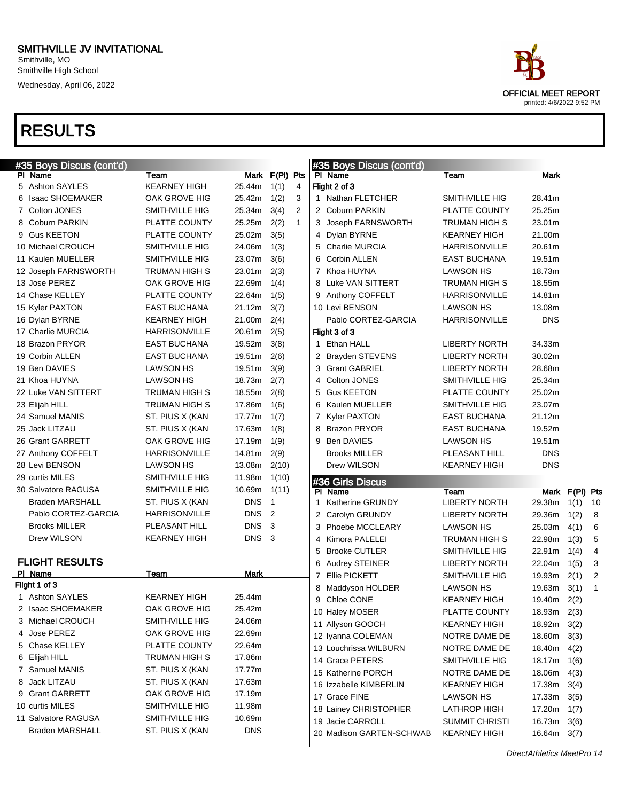Wednesday, April 06, 2022

| #35 Boys Discus (cont'd) |                      |                  |                |              | #35 Boys Discus (cont'd)                     |                                          |                       |                |    |
|--------------------------|----------------------|------------------|----------------|--------------|----------------------------------------------|------------------------------------------|-----------------------|----------------|----|
| PI Name                  | Team                 |                  | Mark F(PI) Pts |              | PI Name                                      | Team                                     | Mark                  |                |    |
| 5 Ashton SAYLES          | <b>KEARNEY HIGH</b>  | 25.44m           | 1(1)           | 4            | Flight 2 of 3                                |                                          |                       |                |    |
| 6 Isaac SHOEMAKER        | OAK GROVE HIG        | 25.42m           | 1(2)           | 3            | 1 Nathan FLETCHER                            | SMITHVILLE HIG                           | 28.41m                |                |    |
| 7 Colton JONES           | SMITHVILLE HIG       | 25.34m           | 3(4)           | 2            | 2 Coburn PARKIN                              | PLATTE COUNTY                            | 25.25m                |                |    |
| 8 Coburn PARKIN          | PLATTE COUNTY        | 25.25m           | 2(2)           | $\mathbf{1}$ | 3 Joseph FARNSWORTH                          | TRUMAN HIGH S                            | 23.01m                |                |    |
| 9 Gus KEETON             | PLATTE COUNTY        | 25.02m           | 3(5)           |              | 4 Dylan BYRNE                                | <b>KEARNEY HIGH</b>                      | 21.00m                |                |    |
| 10 Michael CROUCH        | SMITHVILLE HIG       | 24.06m           | 1(3)           |              | 5 Charlie MURCIA                             | <b>HARRISONVILLE</b>                     | 20.61m                |                |    |
| 11 Kaulen MUELLER        | SMITHVILLE HIG       | 23.07m           | 3(6)           |              | 6 Corbin ALLEN                               | EAST BUCHANA                             | 19.51m                |                |    |
| 12 Joseph FARNSWORTH     | TRUMAN HIGH S        | 23.01m           | 2(3)           |              | 7 Khoa HUYNA                                 | <b>LAWSON HS</b>                         | 18.73m                |                |    |
| 13 Jose PEREZ            | OAK GROVE HIG        | 22.69m           | 1(4)           |              | 8 Luke VAN SITTERT                           | TRUMAN HIGH S                            | 18.55m                |                |    |
| 14 Chase KELLEY          | PLATTE COUNTY        | 22.64m           | 1(5)           |              | 9 Anthony COFFELT                            | <b>HARRISONVILLE</b>                     | 14.81m                |                |    |
| 15 Kyler PAXTON          | <b>EAST BUCHANA</b>  | 21.12m           | 3(7)           |              | 10 Levi BENSON                               | <b>LAWSON HS</b>                         | 13.08m                |                |    |
| 16 Dylan BYRNE           | <b>KEARNEY HIGH</b>  | 21.00m           | 2(4)           |              | Pablo CORTEZ-GARCIA                          | <b>HARRISONVILLE</b>                     | <b>DNS</b>            |                |    |
| 17 Charlie MURCIA        | <b>HARRISONVILLE</b> | 20.61m           | 2(5)           |              | Flight 3 of 3                                |                                          |                       |                |    |
| 18 Brazon PRYOR          | <b>EAST BUCHANA</b>  | 19.52m           | 3(8)           |              | 1 Ethan HALL                                 | <b>LIBERTY NORTH</b>                     | 34.33m                |                |    |
| 19 Corbin ALLEN          | <b>EAST BUCHANA</b>  | 19.51m           | 2(6)           |              | 2 Brayden STEVENS                            | <b>LIBERTY NORTH</b>                     | 30.02m                |                |    |
| 19 Ben DAVIES            | <b>LAWSON HS</b>     | 19.51m           | 3(9)           |              | 3 Grant GABRIEL                              | LIBERTY NORTH                            | 28.68m                |                |    |
| 21 Khoa HUYNA            | <b>LAWSON HS</b>     | 18.73m           | 2(7)           |              | 4 Colton JONES                               | SMITHVILLE HIG                           | 25.34m                |                |    |
| 22 Luke VAN SITTERT      | TRUMAN HIGH S        | 18.55m           | 2(8)           |              | 5 Gus KEETON                                 | PLATTE COUNTY                            | 25.02m                |                |    |
| 23 Elijah HILL           | <b>TRUMAN HIGH S</b> | 17.86m           | 1(6)           |              | 6 Kaulen MUELLER                             | SMITHVILLE HIG                           | 23.07m                |                |    |
| 24 Samuel MANIS          | ST. PIUS X (KAN      | 17.77m           | 1(7)           |              | 7 Kyler PAXTON                               | <b>EAST BUCHANA</b>                      | 21.12m                |                |    |
| 25 Jack LITZAU           | ST. PIUS X (KAN      | 17.63m           | 1(8)           |              | 8 Brazon PRYOR                               | <b>EAST BUCHANA</b>                      | 19.52m                |                |    |
| 26 Grant GARRETT         | OAK GROVE HIG        | 17.19m           | 1(9)           |              | 9 Ben DAVIES                                 | <b>LAWSON HS</b>                         | 19.51m                |                |    |
|                          |                      |                  |                |              |                                              |                                          |                       |                |    |
| 27 Anthony COFFELT       | <b>HARRISONVILLE</b> | 14.81m           | 2(9)           |              | <b>Brooks MILLER</b>                         | PLEASANT HILL                            | <b>DNS</b>            |                |    |
| 28 Levi BENSON           | <b>LAWSON HS</b>     | 13.08m           | 2(10)          |              | Drew WILSON                                  | <b>KEARNEY HIGH</b>                      | <b>DNS</b>            |                |    |
| 29 curtis MILES          | SMITHVILLE HIG       | 11.98m           | 1(10)          |              |                                              |                                          |                       |                |    |
| 30 Salvatore RAGUSA      | SMITHVILLE HIG       | 10.69m           | 1(11)          |              | #36 Girls Discus<br>PI.                      | Team                                     |                       |                |    |
| <b>Braden MARSHALL</b>   | ST. PIUS X (KAN      | <b>DNS</b>       | $\overline{1}$ |              | Name<br>1 Katherine GRUNDY                   | <b>LIBERTY NORTH</b>                     | 29.38m                | Mark F(PI) Pts | 10 |
| Pablo CORTEZ-GARCIA      | <b>HARRISONVILLE</b> | <b>DNS</b>       | $\overline{2}$ |              |                                              |                                          | 29.36m                | 1(1)           | 8  |
| <b>Brooks MILLER</b>     | PLEASANT HILL        | <b>DNS</b>       | -3             |              | 2 Carolyn GRUNDY<br>3 Phoebe MCCLEARY        | <b>LIBERTY NORTH</b><br><b>LAWSON HS</b> | 25.03m                | 1(2)           | 6  |
| Drew WILSON              | <b>KEARNEY HIGH</b>  | DNS <sub>3</sub> |                |              | Kimora PALELEI<br>4                          | TRUMAN HIGH S                            | 22.98m                | 4(1)           | 5  |
|                          |                      |                  |                |              | 5 Brooke CUTLER                              | SMITHVILLE HIG                           | 22.91m                | 1(3)           | 4  |
| <b>FLIGHT RESULTS</b>    |                      |                  |                |              |                                              | <b>LIBERTY NORTH</b>                     | 22.04m                | 1(4)           | 3  |
| PI Name                  | Team                 | Mark             |                |              | 6 Audrey STEINER<br>Ellie PICKETT<br>7       | <b>SMITHVILLE HIG</b>                    | 19.93m                | 1(5)           | 2  |
| Flight 1 of 3            |                      |                  |                |              | 8                                            | <b>LAWSON HS</b>                         | 19.63m                | 2(1)           | 1  |
| 1 Ashton SAYLES          | KEARNEY HIGH         | 25.44m           |                |              | Maddyson HOLDER<br>9 Chloe CONE              | <b>KEARNEY HIGH</b>                      | 19.40m                | 3(1)           |    |
| 2 Isaac SHOEMAKER        | OAK GROVE HIG        | 25.42m           |                |              |                                              | PLATTE COUNTY                            |                       | 2(2)           |    |
| 3 Michael CROUCH         | SMITHVILLE HIG       | 24.06m           |                |              | 10 Haley MOSER                               | <b>KEARNEY HIGH</b>                      | 18.93m 2(3)           |                |    |
| 4 Jose PEREZ             | OAK GROVE HIG        | 22.69m           |                |              | 11 Allyson GOOCH                             |                                          | 18.92m                | 3(2)           |    |
| 5 Chase KELLEY           | PLATTE COUNTY        | 22.64m           |                |              | 12 Iyanna COLEMAN                            | NOTRE DAME DE                            | 18.60m 3(3)           |                |    |
| 6 Elijah HILL            | <b>TRUMAN HIGH S</b> | 17.86m           |                |              | 13 Louchrissa WILBURN<br>14 Grace PETERS     | NOTRE DAME DE<br>SMITHVILLE HIG          | 18.40 $m$ 4(2)        |                |    |
| 7 Samuel MANIS           | ST. PIUS X (KAN      | 17.77m           |                |              |                                              |                                          | $18.17m$ $1(6)$       |                |    |
| 8 Jack LITZAU            | ST. PIUS X (KAN      | 17.63m           |                |              | 15 Katherine PORCH                           | NOTRE DAME DE                            | 18.06m                | 4(3)           |    |
| 9 Grant GARRETT          | OAK GROVE HIG        | 17.19m           |                |              | 16 Izzabelle KIMBERLIN                       | KEARNEY HIGH                             | 17.38m                | 3(4)           |    |
| 10 curtis MILES          | SMITHVILLE HIG       | 11.98m           |                |              | 17 Grace FINE                                | <b>LAWSON HS</b>                         | 17.33m 3(5)           |                |    |
| 11 Salvatore RAGUSA      | SMITHVILLE HIG       | 10.69m           |                |              | 18 Lainey CHRISTOPHER                        | LATHROP HIGH                             | 17.20m 1(7)           |                |    |
| <b>Braden MARSHALL</b>   | ST. PIUS X (KAN      | <b>DNS</b>       |                |              | 19 Jacie CARROLL<br>20 Madison GARTEN-SCHWAB | <b>SUMMIT CHRISTI</b><br>KEARNEY HIGH    | 16.73m<br>16.64m 3(7) | 3(6)           |    |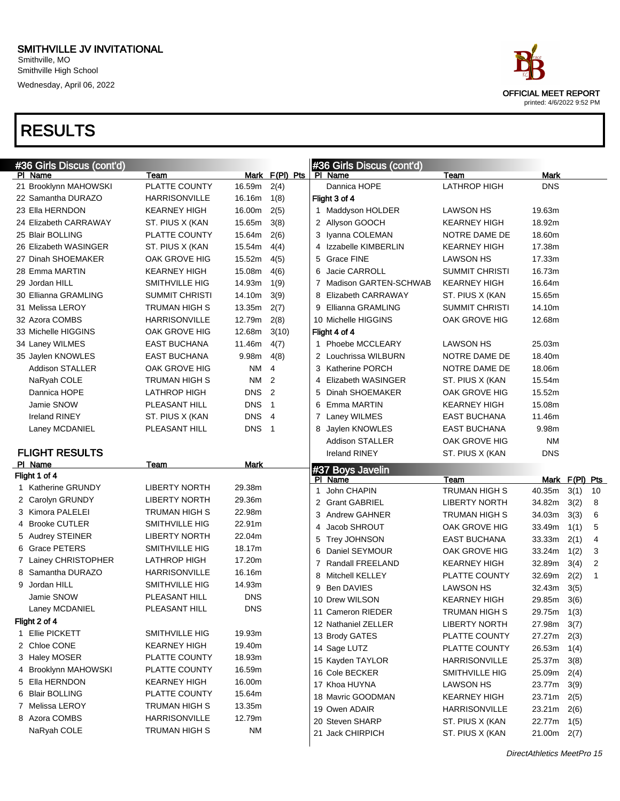| #36 Girls Discus (cont'd) |                       |                  |                |   | #36 Girls Discus (cont'd)          |                                             |                            |                |                |
|---------------------------|-----------------------|------------------|----------------|---|------------------------------------|---------------------------------------------|----------------------------|----------------|----------------|
| PI Name                   | Team                  |                  | Mark F(PI) Pts |   | PI Name                            | Team                                        | Mark                       |                |                |
| 21 Brooklynn MAHOWSKI     | PLATTE COUNTY         | 16.59m           | 2(4)           |   | Dannica HOPE                       | <b>LATHROP HIGH</b>                         | <b>DNS</b>                 |                |                |
| 22 Samantha DURAZO        | <b>HARRISONVILLE</b>  | 16.16m           | 1(8)           |   | Flight 3 of 4                      |                                             |                            |                |                |
| 23 Ella HERNDON           | <b>KEARNEY HIGH</b>   | 16.00m           | 2(5)           |   | 1 Maddyson HOLDER                  | <b>LAWSON HS</b>                            | 19.63m                     |                |                |
| 24 Elizabeth CARRAWAY     | ST. PIUS X (KAN       | 15.65m           | 3(8)           |   | 2 Allyson GOOCH                    | <b>KEARNEY HIGH</b>                         | 18.92m                     |                |                |
| 25 Blair BOLLING          | PLATTE COUNTY         | 15.64m           | 2(6)           |   | 3 Iyanna COLEMAN                   | NOTRE DAME DE                               | 18.60m                     |                |                |
| 26 Elizabeth WASINGER     | ST. PIUS X (KAN       | 15.54m           | 4(4)           | 4 | Izzabelle KIMBERLIN                | <b>KEARNEY HIGH</b>                         | 17.38m                     |                |                |
| 27 Dinah SHOEMAKER        | OAK GROVE HIG         | 15.52m           | 4(5)           | 5 | <b>Grace FINE</b>                  | <b>LAWSON HS</b>                            | 17.33m                     |                |                |
| 28 Emma MARTIN            | <b>KEARNEY HIGH</b>   | 15.08m           | 4(6)           | 6 | Jacie CARROLL                      | <b>SUMMIT CHRISTI</b>                       | 16.73m                     |                |                |
| 29 Jordan HILL            | <b>SMITHVILLE HIG</b> | 14.93m           | 1(9)           | 7 | Madison GARTEN-SCHWAB              | <b>KEARNEY HIGH</b>                         | 16.64m                     |                |                |
| 30 Ellianna GRAMLING      | <b>SUMMIT CHRISTI</b> | 14.10m           | 3(9)           | 8 | Elizabeth CARRAWAY                 | ST. PIUS X (KAN                             | 15.65m                     |                |                |
| 31 Melissa LEROY          | TRUMAN HIGH S         | 13.35m           | 2(7)           | 9 | Ellianna GRAMLING                  | <b>SUMMIT CHRISTI</b>                       | 14.10m                     |                |                |
| 32 Azora COMBS            | <b>HARRISONVILLE</b>  | 12.79m           | 2(8)           |   | 10 Michelle HIGGINS                | OAK GROVE HIG                               | 12.68m                     |                |                |
| 33 Michelle HIGGINS       | OAK GROVE HIG         | 12.68m           | 3(10)          |   | Flight 4 of 4                      |                                             |                            |                |                |
| 34 Laney WILMES           | <b>EAST BUCHANA</b>   | 11.46m           | 4(7)           |   | 1 Phoebe MCCLEARY                  | <b>LAWSON HS</b>                            | 25.03m                     |                |                |
| 35 Jaylen KNOWLES         | <b>EAST BUCHANA</b>   | 9.98m            | 4(8)           |   | 2 Louchrissa WILBURN               | NOTRE DAME DE                               | 18.40m                     |                |                |
| Addison STALLER           | OAK GROVE HIG         | NM.              | $\overline{4}$ | 3 | <b>Katherine PORCH</b>             | NOTRE DAME DE                               | 18.06m                     |                |                |
| NaRyah COLE               | TRUMAN HIGH S         | NM 2             |                | 4 | Elizabeth WASINGER                 | ST. PIUS X (KAN                             | 15.54m                     |                |                |
| Dannica HOPE              | <b>LATHROP HIGH</b>   | DNS <sub>2</sub> |                | 5 | Dinah SHOEMAKER                    | OAK GROVE HIG                               | 15.52m                     |                |                |
| Jamie SNOW                | PLEASANT HILL         | <b>DNS</b>       | $\overline{1}$ | 6 | Emma MARTIN                        | <b>KEARNEY HIGH</b>                         | 15.08m                     |                |                |
| <b>Ireland RINEY</b>      | ST. PIUS X (KAN       | DNS 4            |                | 7 | Laney WILMES                       | <b>EAST BUCHANA</b>                         | 11.46m                     |                |                |
| Laney MCDANIEL            | PLEASANT HILL         | DNS <sub>1</sub> |                | 8 | Jaylen KNOWLES                     | <b>EAST BUCHANA</b>                         | 9.98m                      |                |                |
|                           |                       |                  |                |   | <b>Addison STALLER</b>             | OAK GROVE HIG                               | <b>NM</b>                  |                |                |
| <b>FLIGHT RESULTS</b>     |                       |                  |                |   | <b>Ireland RINEY</b>               | ST. PIUS X (KAN                             | <b>DNS</b>                 |                |                |
|                           |                       |                  |                |   |                                    |                                             |                            |                |                |
| PI Name                   | Team                  | Mark             |                |   |                                    |                                             |                            |                |                |
| Flight 1 of 4             |                       |                  |                |   | #37 Boys Javelin<br>PI Name        | Team                                        |                            | Mark F(PI) Pts |                |
| 1 Katherine GRUNDY        | <b>LIBERTY NORTH</b>  | 29.38m           |                | 1 | John CHAPIN                        | TRUMAN HIGH S                               | 40.35m                     | 3(1)           | 10             |
| 2 Carolyn GRUNDY          | <b>LIBERTY NORTH</b>  | 29.36m           |                |   | 2 Grant GABRIEL                    | <b>LIBERTY NORTH</b>                        | 34.82m                     | 3(2)           | 8              |
| 3 Kimora PALELEI          | TRUMAN HIGH S         | 22.98m           |                | 3 | <b>Andrew GAHNER</b>               | TRUMAN HIGH S                               | 34.03m                     | 3(3)           | 6              |
| 4 Brooke CUTLER           | SMITHVILLE HIG        | 22.91m           |                | 4 | Jacob SHROUT                       | OAK GROVE HIG                               | 33.49m                     | 1(1)           | 5              |
| 5 Audrey STEINER          | <b>LIBERTY NORTH</b>  | 22.04m           |                | 5 | Trey JOHNSON                       | <b>EAST BUCHANA</b>                         | 33.33m                     | 2(1)           | 4              |
| 6 Grace PETERS            | SMITHVILLE HIG        | 18.17m           |                | 6 | Daniel SEYMOUR                     | OAK GROVE HIG                               | 33.24m                     | 1(2)           | 3              |
| 7 Lainey CHRISTOPHER      | <b>LATHROP HIGH</b>   | 17.20m           |                | 7 | Randall FREELAND                   | <b>KEARNEY HIGH</b>                         | 32.89m                     | 3(4)           | $\overline{2}$ |
| 8 Samantha DURAZO         | <b>HARRISONVILLE</b>  | 16.16m           |                | 8 | Mitchell KELLEY                    | PLATTE COUNTY                               | 32.69m                     | 2(2)           | 1              |
| 9 Jordan HILL             | SMITHVILLE HIG        | 14.93m           |                | 9 | <b>Ben DAVIES</b>                  | <b>LAWSON HS</b>                            | 32.43m                     | 3(5)           |                |
| Jamie SNOW                | PLEASANT HILL         | <b>DNS</b>       |                |   | 10 Drew WILSON                     | <b>KEARNEY HIGH</b>                         | 29.85m                     | 3(6)           |                |
| Laney MCDANIEL            | PLEASANT HILL         | <b>DNS</b>       |                |   | 11 Cameron RIEDER                  | TRUMAN HIGH S                               |                            |                |                |
| Flight 2 of 4             |                       |                  |                |   | 12 Nathaniel ZELLER                | <b>LIBERTY NORTH</b>                        | 29.75m 1(3)<br>27.98m 3(7) |                |                |
| 1 Ellie PICKETT           | SMITHVILLE HIG        | 19.93m           |                |   | 13 Brody GATES                     | PLATTE COUNTY                               | 27.27m                     |                |                |
| 2 Chloe CONE              | <b>KEARNEY HIGH</b>   | 19.40m           |                |   | 14 Sage LUTZ                       | PLATTE COUNTY                               | 26.53m                     | 2(3)           |                |
| 3 Haley MOSER             | PLATTE COUNTY         | 18.93m           |                |   | 15 Kayden TAYLOR                   | <b>HARRISONVILLE</b>                        | 25.37m                     | 1(4)<br>3(8)   |                |
| 4 Brooklynn MAHOWSKI      | PLATTE COUNTY         | 16.59m           |                |   | 16 Cole BECKER                     | SMITHVILLE HIG                              | 25.09m                     |                |                |
| 5 Ella HERNDON            | <b>KEARNEY HIGH</b>   | 16.00m           |                |   | 17 Khoa HUYNA                      | <b>LAWSON HS</b>                            |                            | 2(4)           |                |
| 6 Blair BOLLING           | PLATTE COUNTY         | 15.64m           |                |   |                                    |                                             | 23.77m                     | 3(9)           |                |
| 7 Melissa LEROY           | TRUMAN HIGH S         | 13.35m           |                |   | 18 Mavric GOODMAN<br>19 Owen ADAIR | <b>KEARNEY HIGH</b><br><b>HARRISONVILLE</b> | 23.71m                     | 2(5)           |                |
| 8 Azora COMBS             | HARRISONVILLE         | 12.79m           |                |   | 20 Steven SHARP                    |                                             | 23.21m                     | 2(6)           |                |
| NaRyah COLE               | TRUMAN HIGH S         | <b>NM</b>        |                |   | 21 Jack CHIRPICH                   | ST. PIUS X (KAN<br>ST. PIUS X (KAN          | 22.77m<br>$21.00m$ 2(7)    | 1(5)           |                |

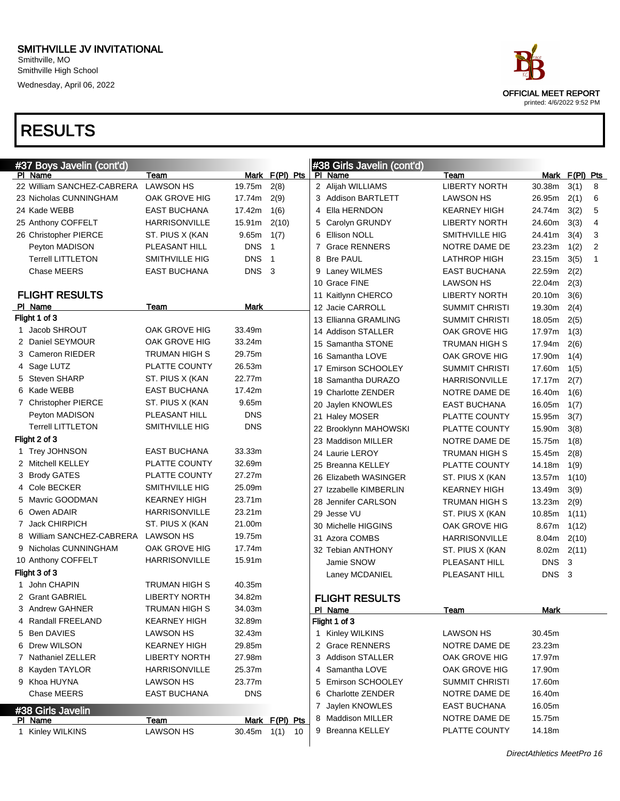

| #37 Boys Javelin (cont'd) |                            |                                         |               |                | #38 Girls Javelin (cont'd) |                        |                       |                  |       |   |
|---------------------------|----------------------------|-----------------------------------------|---------------|----------------|----------------------------|------------------------|-----------------------|------------------|-------|---|
|                           | PI Name                    | Team                                    |               | Mark F(PI) Pts |                            | PI Name                | Team                  | Mark F(PI) Pts   |       |   |
|                           | 22 William SANCHEZ-CABRERA | <b>LAWSON HS</b>                        | 19.75m        | 2(8)           |                            | 2 Alijah WILLIAMS      | <b>LIBERTY NORTH</b>  | 30.38m           | 3(1)  | 8 |
|                           | 23 Nicholas CUNNINGHAM     | OAK GROVE HIG                           | 17.74m        | 2(9)           |                            | 3 Addison BARTLETT     | <b>LAWSON HS</b>      | 26.95m           | 2(1)  | 6 |
|                           | 24 Kade WEBB               | <b>EAST BUCHANA</b>                     | 17.42m        | 1(6)           | 4                          | Ella HERNDON           | <b>KEARNEY HIGH</b>   | 24.74m           | 3(2)  | 5 |
|                           | 25 Anthony COFFELT         | <b>HARRISONVILLE</b>                    | 15.91m        | 2(10)          | 5                          | Carolyn GRUNDY         | <b>LIBERTY NORTH</b>  | 24.60m           | 3(3)  | 4 |
|                           | 26 Christopher PIERCE      | ST. PIUS X (KAN                         | 9.65m         | 1(7)           | 6                          | <b>Ellison NOLL</b>    | SMITHVILLE HIG        | 24.41m           | 3(4)  | 3 |
|                           | Peyton MADISON             | PLEASANT HILL                           | <b>DNS</b>    | $\overline{1}$ |                            | 7 Grace RENNERS        | NOTRE DAME DE         | 23.23m           | 1(2)  | 2 |
|                           | <b>Terrell LITTLETON</b>   | SMITHVILLE HIG                          | <b>DNS</b>    | $\overline{1}$ |                            | 8 Bre PAUL             | <b>LATHROP HIGH</b>   | 23.15m           | 3(5)  | 1 |
|                           | Chase MEERS                | <b>EAST BUCHANA</b>                     | <b>DNS</b>    | - 3            |                            | 9 Laney WILMES         | <b>EAST BUCHANA</b>   | 22.59m           | 2(2)  |   |
|                           |                            |                                         |               |                |                            | 10 Grace FINE          | <b>LAWSON HS</b>      | 22.04m           | 2(3)  |   |
|                           | <b>FLIGHT RESULTS</b>      |                                         |               |                |                            | 11 Kaitlynn CHERCO     | <b>LIBERTY NORTH</b>  | 20.10m           | 3(6)  |   |
|                           | PI Name                    | Team                                    | Mark          |                |                            | 12 Jacie CARROLL       | <b>SUMMIT CHRISTI</b> | 19.30m           | 2(4)  |   |
|                           | Flight 1 of 3              |                                         |               |                |                            | 13 Ellianna GRAMLING   | <b>SUMMIT CHRISTI</b> | 18.05m           | 2(5)  |   |
|                           | 1 Jacob SHROUT             | OAK GROVE HIG                           | 33.49m        |                |                            | 14 Addison STALLER     | OAK GROVE HIG         | 17.97m           | 1(3)  |   |
|                           | 2 Daniel SEYMOUR           | OAK GROVE HIG                           | 33.24m        |                |                            | 15 Samantha STONE      | <b>TRUMAN HIGH S</b>  | 17.94m           | 2(6)  |   |
|                           | 3 Cameron RIEDER           | TRUMAN HIGH S                           | 29.75m        |                |                            | 16 Samantha LOVE       | OAK GROVE HIG         | 17.90m           | 1(4)  |   |
|                           | 4 Sage LUTZ                | PLATTE COUNTY                           | 26.53m        |                |                            | 17 Emirson SCHOOLEY    | <b>SUMMIT CHRISTI</b> | 17.60m           | 1(5)  |   |
|                           | 5 Steven SHARP             | ST. PIUS X (KAN                         | 22.77m        |                |                            | 18 Samantha DURAZO     | HARRISONVILLE         | 17.17m           | 2(7)  |   |
|                           | 6 Kade WEBB                | <b>EAST BUCHANA</b>                     | 17.42m        |                |                            | 19 Charlotte ZENDER    | NOTRE DAME DE         | 16.40m           | 1(6)  |   |
|                           | 7 Christopher PIERCE       | ST. PIUS X (KAN                         | 9.65m         |                |                            | 20 Jaylen KNOWLES      | <b>EAST BUCHANA</b>   | 16.05m           | 1(7)  |   |
|                           | Peyton MADISON             | PLEASANT HILL                           | <b>DNS</b>    |                |                            | 21 Haley MOSER         | PLATTE COUNTY         | 15.95m           | 3(7)  |   |
|                           | <b>Terrell LITTLETON</b>   | <b>SMITHVILLE HIG</b>                   | <b>DNS</b>    |                |                            | 22 Brooklynn MAHOWSKI  | PLATTE COUNTY         | 15.90m           | 3(8)  |   |
|                           | Flight 2 of 3              |                                         |               |                |                            | 23 Maddison MILLER     | NOTRE DAME DE         | 15.75m           | 1(8)  |   |
|                           | 1 Trey JOHNSON             | EAST BUCHANA                            | 33.33m        |                |                            | 24 Laurie LEROY        | <b>TRUMAN HIGH S</b>  | 15.45m           | 2(8)  |   |
|                           | 2 Mitchell KELLEY          | PLATTE COUNTY                           | 32.69m        |                |                            | 25 Breanna KELLEY      | PLATTE COUNTY         | 14.18m           | 1(9)  |   |
|                           | 3 Brody GATES              | PLATTE COUNTY                           | 27.27m        |                |                            | 26 Elizabeth WASINGER  | ST. PIUS X (KAN       | 13.57m           | 1(10) |   |
|                           | 4 Cole BECKER              | SMITHVILLE HIG                          | 25.09m        |                |                            | 27 Izzabelle KIMBERLIN | <b>KEARNEY HIGH</b>   | 13.49m           | 3(9)  |   |
|                           | 5 Mavric GOODMAN           | <b>KEARNEY HIGH</b>                     | 23.71m        |                |                            | 28 Jennifer CARLSON    | <b>TRUMAN HIGH S</b>  | 13.23m           | 2(9)  |   |
|                           | 6 Owen ADAIR               | <b>HARRISONVILLE</b>                    | 23.21m        |                |                            | 29 Jesse VU            | ST. PIUS X (KAN       | 10.85m           | 1(11) |   |
|                           | 7 Jack CHIRPICH            | ST. PIUS X (KAN                         | 21.00m        |                |                            | 30 Michelle HIGGINS    | OAK GROVE HIG         | 8.67m            | 1(12) |   |
|                           | 8 William SANCHEZ-CABRERA  | LAWSON HS                               | 19.75m        |                |                            | 31 Azora COMBS         | HARRISONVILLE         | 8.04m            | 2(10) |   |
|                           | 9 Nicholas CUNNINGHAM      | OAK GROVE HIG                           | 17.74m        |                |                            | 32 Tebian ANTHONY      | ST. PIUS X (KAN       | 8.02m            | 2(11) |   |
| 10 Anthony COFFELT        |                            | <b>HARRISONVILLE</b>                    | 15.91m        |                |                            | Jamie SNOW             | PLEASANT HILL         | <b>DNS</b>       | 3     |   |
|                           | Flight 3 of 3              |                                         |               |                |                            | Laney MCDANIEL         | PLEASANT HILL         | DNS <sub>3</sub> |       |   |
|                           | 1 John CHAPIN              | TRUMAN HIGH S                           | 40.35m        |                |                            |                        |                       |                  |       |   |
|                           | 2 Grant GABRIEL            | <b>LIBERTY NORTH</b>                    | 34.82m        |                |                            | <b>FLIGHT RESULTS</b>  |                       |                  |       |   |
|                           | 3 Andrew GAHNER            | TRUMAN HIGH S                           | 34.03m        |                |                            | PI Name                | Team                  | Mark             |       |   |
|                           | 4 Randall FREELAND         | <b>KEARNEY HIGH</b><br><b>LAWSON HS</b> | 32.89m        |                |                            | Flight 1 of 3          |                       |                  |       |   |
|                           | 5 Ben DAVIES               |                                         | 32.43m        |                |                            | 1 Kinley WILKINS       | <b>LAWSON HS</b>      | 30.45m           |       |   |
|                           | 6 Drew WILSON              | <b>KEARNEY HIGH</b>                     | 29.85m        |                |                            | 2 Grace RENNERS        | NOTRE DAME DE         | 23.23m           |       |   |
|                           | 7 Nathaniel ZELLER         | <b>LIBERTY NORTH</b>                    | 27.98m        |                |                            | 3 Addison STALLER      | OAK GROVE HIG         | 17.97m           |       |   |
|                           | 8 Kayden TAYLOR            | <b>HARRISONVILLE</b>                    | 25.37m        |                | 4                          | Samantha LOVE          | OAK GROVE HIG         | 17.90m           |       |   |
|                           | 9 Khoa HUYNA               | <b>LAWSON HS</b>                        | 23.77m        |                |                            | 5 Emirson SCHOOLEY     | <b>SUMMIT CHRISTI</b> | 17.60m           |       |   |
|                           | Chase MEERS                | <b>EAST BUCHANA</b>                     | <b>DNS</b>    |                |                            | 6 Charlotte ZENDER     | NOTRE DAME DE         | 16.40m           |       |   |
|                           | #38 Girls Javelin          |                                         |               |                |                            | 7 Jaylen KNOWLES       | <b>EAST BUCHANA</b>   | 16.05m           |       |   |
|                           | PI Name                    | Team                                    |               | Mark F(PI) Pts |                            | Maddison MILLER        | NOTRE DAME DE         | 15.75m           |       |   |
|                           | 1 Kinley WILKINS           | <b>LAWSON HS</b>                        | $30.45m$ 1(1) | 10             |                            | 9 Breanna KELLEY       | PLATTE COUNTY         | 14.18m           |       |   |